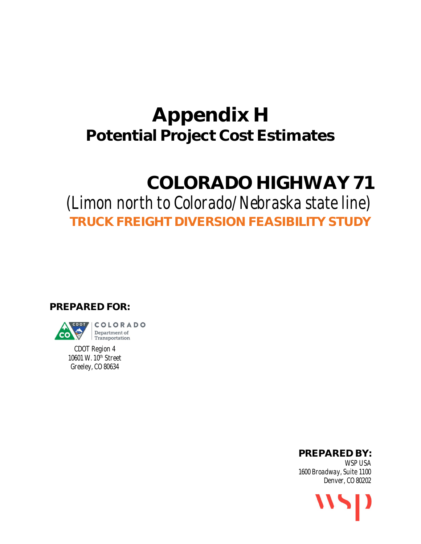## **Appendix H Potential Project Cost Estimates**

# **COLORADO HIGHWAY 71**

## *(Limon north to Colorado/Nebraska state line)* **TRUCK FREIGHT DIVERSION FEASIBILITY STUDY**

**PREPARED FOR:**



Department of Transportation

*CDOT Region 4 10601 W. 10th Street Greeley, CO 80634*

**PREPARED BY:**

*WSP USA 1600 Broadway, Suite 1100 Denver, CO 80202*

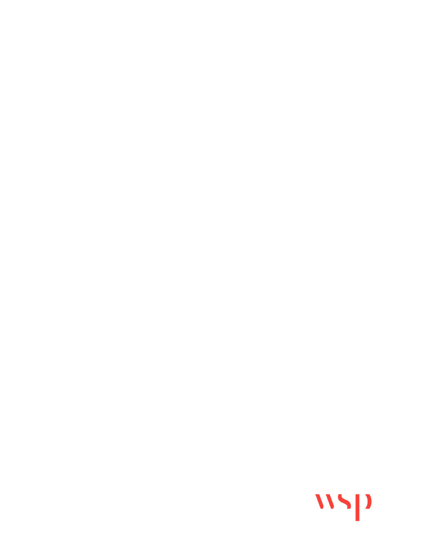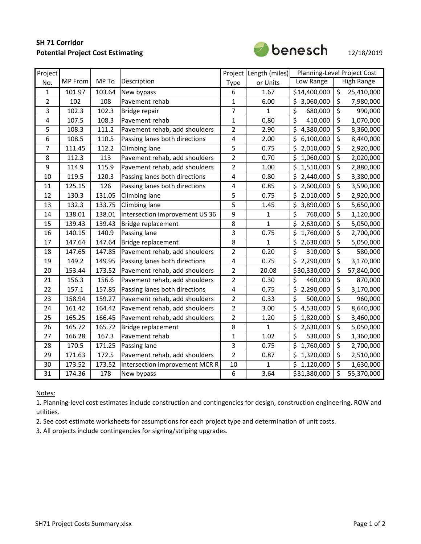#### **SH 71 Corridor Potential Project Cost Estimating**<br> **Potential Project Cost Estimating** 12/18/2019



| Project |         |        |                                |                         | Project Length (miles) |                 | Planning-Level Project Cost |
|---------|---------|--------|--------------------------------|-------------------------|------------------------|-----------------|-----------------------------|
| No.     | MP From | MP To  | Description                    | Type                    | or Units               | Low Range       | <b>High Range</b>           |
| 1       | 101.97  | 103.64 | New bypass                     | 6                       | 1.67                   | \$14,400,000    | \$<br>25,410,000            |
| 2       | 102     | 108    | Pavement rehab                 | $\mathbf 1$             | 6.00                   | \$<br>3,060,000 | \$<br>7,980,000             |
| 3       | 102.3   | 102.3  | Bridge repair                  | $\overline{7}$          | $\mathbf{1}$           | \$<br>680,000   | \$<br>990,000               |
| 4       | 107.5   | 108.3  | Pavement rehab                 | $\mathbf 1$             | 0.80                   | \$<br>410,000   | \$<br>1,070,000             |
| 5       | 108.3   | 111.2  | Pavement rehab, add shoulders  | $\overline{2}$          | 2.90                   | \$<br>4,380,000 | \$<br>8,360,000             |
| 6       | 108.5   | 110.5  | Passing lanes both directions  | $\pmb{4}$               | 2.00                   | \$<br>6,100,000 | \$<br>8,440,000             |
| 7       | 111.45  | 112.2  | Climbing lane                  | 5                       | 0.75                   | \$<br>2,010,000 | \$<br>2,920,000             |
| 8       | 112.3   | 113    | Pavement rehab, add shoulders  | 2                       | 0.70                   | \$<br>1,060,000 | \$<br>2,020,000             |
| 9       | 114.9   | 115.9  | Pavement rehab, add shoulders  | $\overline{2}$          | 1.00                   | \$<br>1,510,000 | \$<br>2,880,000             |
| 10      | 119.5   | 120.3  | Passing lanes both directions  | $\pmb{4}$               | 0.80                   | \$<br>2,440,000 | \$<br>3,380,000             |
| 11      | 125.15  | 126    | Passing lanes both directions  | 4                       | 0.85                   | \$<br>2,600,000 | \$<br>3,590,000             |
| 12      | 130.3   | 131.05 | Climbing lane                  | 5                       | 0.75                   | \$<br>2,010,000 | \$<br>2,920,000             |
| 13      | 132.3   | 133.75 | Climbing lane                  | 5                       | 1.45                   | \$<br>3,890,000 | \$<br>5,650,000             |
| 14      | 138.01  | 138.01 | Intersection improvement US 36 | 9                       | $\mathbf{1}$           | \$<br>760,000   | \$<br>1,120,000             |
| 15      | 139.43  | 139.43 | Bridge replacement             | 8                       | $\mathbf{1}$           | \$<br>2,630,000 | \$<br>5,050,000             |
| 16      | 140.15  | 140.9  | Passing lane                   | 3                       | 0.75                   | \$<br>1,760,000 | \$<br>2,700,000             |
| 17      | 147.64  | 147.64 | Bridge replacement             | 8                       | $\mathbf{1}$           | \$<br>2,630,000 | \$<br>5,050,000             |
| 18      | 147.65  | 147.85 | Pavement rehab, add shoulders  | $\overline{c}$          | 0.20                   | \$<br>310,000   | \$<br>580,000               |
| 19      | 149.2   | 149.95 | Passing lanes both directions  | $\pmb{4}$               | 0.75                   | \$<br>2,290,000 | \$<br>3,170,000             |
| 20      | 153.44  | 173.52 | Pavement rehab, add shoulders  | $\overline{2}$          | 20.08                  | \$30,330,000    | \$<br>57,840,000            |
| 21      | 156.3   | 156.6  | Pavement rehab, add shoulders  | $\overline{2}$          | 0.30                   | \$<br>460,000   | \$<br>870,000               |
| 22      | 157.1   | 157.85 | Passing lanes both directions  | $\overline{\mathbf{4}}$ | 0.75                   | \$<br>2,290,000 | \$<br>3,170,000             |
| 23      | 158.94  | 159.27 | Pavement rehab, add shoulders  | 2                       | 0.33                   | \$<br>500,000   | \$<br>960,000               |
| 24      | 161.42  | 164.42 | Pavement rehab, add shoulders  | 2                       | 3.00                   | \$<br>4,530,000 | \$<br>8,640,000             |
| 25      | 165.25  | 166.45 | Pavement rehab, add shoulders  | 2                       | 1.20                   | \$<br>1,820,000 | \$<br>3,460,000             |
| 26      | 165.72  | 165.72 | Bridge replacement             | 8                       | $\mathbf{1}$           | \$<br>2,630,000 | \$<br>5,050,000             |
| 27      | 166.28  | 167.3  | Pavement rehab                 | $\mathbf 1$             | 1.02                   | \$<br>530,000   | \$<br>1,360,000             |
| 28      | 170.5   | 171.25 | Passing lane                   | 3                       | 0.75                   | \$<br>1,760,000 | \$<br>2,700,000             |
| 29      | 171.63  | 172.5  | Pavement rehab, add shoulders  | $\overline{2}$          | 0.87                   | \$<br>1,320,000 | \$<br>2,510,000             |
| 30      | 173.52  | 173.52 | Intersection improvement MCR R | 10                      | $\mathbf 1$            | 1,120,000       | \$<br>1,630,000             |
| 31      | 174.36  | 178    | New bypass                     | 6                       | 3.64                   | \$31,380,000    | \$<br>55,370,000            |

Notes:

1. Planning‐level cost estimates include construction and contingencies for design, construction engineering, ROW and utilities.

2. See cost estimate worksheets for assumptions for each project type and determination of unit costs.

3. All projects include contingencies for signing/striping upgrades.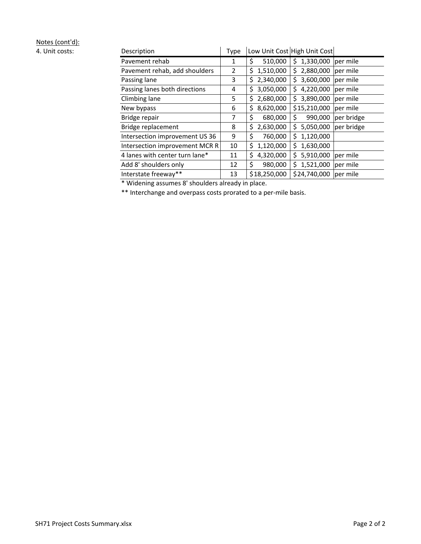#### Notes (cont'd):

4. Unit costs:

| Description                    | Type           | Low Unit Cost High Unit Cost |                 |            |
|--------------------------------|----------------|------------------------------|-----------------|------------|
| Pavement rehab                 | 1              | Ś<br>510,000                 | 1,330,000<br>S. | per mile   |
| Pavement rehab, add shoulders  | $\overline{2}$ | \$<br>1,510,000              | 2,880,000<br>\$ | per mile   |
| Passing lane                   | 3              | Ś<br>2,340,000               | 3,600,000<br>Ś  | per mile   |
| Passing lanes both directions  | 4              | 3,050,000<br>Ś               | 4,220,000<br>Ś  | per mile   |
| Climbing lane                  | 5              | 2,680,000<br>Ś               | 3,890,000<br>\$ | per mile   |
| New bypass                     | 6              | \$<br>8,620,000              | \$15,210,000    | per mile   |
| Bridge repair                  | 7              | \$<br>680,000                | Ś<br>990,000    | per bridge |
| Bridge replacement             | 8              | \$<br>2,630,000              | 5,050,000<br>\$ | per bridge |
| Intersection improvement US 36 | 9              | \$<br>760,000                | 1,120,000<br>S  |            |
| Intersection improvement MCR R | 10             | \$<br>1,120,000              | 1,630,000<br>Ś  |            |
| 4 lanes with center turn lane* | 11             | Ś<br>4,320,000               | 5,910,000<br>Ś  | per mile   |
| Add 8' shoulders only          | 12             | \$<br>980,000                | 1,521,000<br>S  | per mile   |
| Interstate freeway**           | 13             | \$18,250,000                 | \$24,740,000    | per mile   |

\* Widening assumes 8' shoulders already in place.

\*\* Interchange and overpass costs prorated to a per‐mile basis.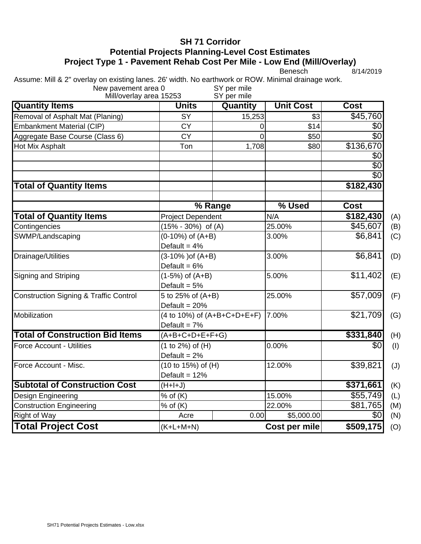#### **SH 71 Corridor Potential Projects Planning-Level Cost Estimates Project Type 1 - Pavement Rehab Cost Per Mile - Low End (Mill/Overlay)**

Benesch 8/14/2019

 $\sim$ New pavement area 0  $\sim$  SV per mile Assume: Mill & 2" overlay on existing lanes. 26' width. No earthwork or ROW. Minimal drainage work.

| <b>Quantity Items</b>                             | <b>Units</b>             | Quantity                    | <b>Unit Cost</b> | <b>Cost</b>     |
|---------------------------------------------------|--------------------------|-----------------------------|------------------|-----------------|
| Removal of Asphalt Mat (Planing)                  | SY                       | 15,253                      | \$3              | \$45,760        |
| Embankment Material (CIP)                         | <b>CY</b>                | 0                           | \$14             | \$0             |
| Aggregate Base Course (Class 6)                   | <b>CY</b>                | $\Omega$                    | \$50             | \$0             |
| <b>Hot Mix Asphalt</b>                            | Ton                      | 1,708                       | \$80             | \$136,670       |
|                                                   |                          |                             |                  | \$0             |
|                                                   |                          |                             |                  | \$0             |
|                                                   |                          |                             |                  | $\overline{30}$ |
| <b>Total of Quantity Items</b>                    |                          |                             |                  | \$182,430       |
|                                                   |                          |                             |                  |                 |
|                                                   |                          | % Range                     | % Used           | <b>Cost</b>     |
| <b>Total of Quantity Items</b>                    | <b>Project Dependent</b> |                             | N/A              | \$182,430       |
| Contingencies                                     | $(15\% - 30\%)$ of (A)   |                             | 25.00%           | \$45,607        |
| SWMP/Landscaping                                  | $(0-10\%)$ of $(A+B)$    |                             | 3.00%            | \$6,841         |
|                                                   | Default = $4%$           |                             |                  |                 |
| Drainage/Utilities                                | $(3-10\%)$ of $(A+B)$    |                             | 3.00%            | \$6,841         |
|                                                   | Default = $6%$           |                             |                  |                 |
| Signing and Striping                              | $(1-5%)$ of $(A+B)$      |                             | 5.00%            | \$11,402        |
|                                                   | Default = $5%$           |                             |                  |                 |
| <b>Construction Signing &amp; Traffic Control</b> | 5 to 25% of (A+B)        |                             | 25.00%           | \$57,009        |
|                                                   | Default = $20%$          |                             |                  |                 |
| Mobilization                                      |                          | (4 to 10%) of (A+B+C+D+E+F) | 7.00%            | \$21,709        |
|                                                   | Default = $7%$           |                             |                  |                 |
| <b>Total of Construction Bid Items</b>            | $(A+B+C+D+E+F+G)$        |                             |                  | \$331,840       |
| <b>Force Account - Utilities</b>                  | $(1 to 2\%)$ of $(H)$    |                             | 0.00%            | \$0             |
|                                                   | Default = $2%$           |                             |                  |                 |
| Force Account - Misc.                             | (10 to 15%) of (H)       |                             | 12.00%           | \$39,821        |
|                                                   | Default = $12%$          |                             |                  |                 |
| <b>Subtotal of Construction Cost</b>              | $(H+H+)$                 |                             |                  | \$371,661       |
| <b>Design Engineering</b>                         | $%$ of $(K)$             |                             | 15.00%           | \$55,749        |
| <b>Construction Engineering</b>                   | $%$ of $(K)$             |                             | 22.00%           | \$81,765        |
| Right of Way                                      | Acre                     | 0.00                        | \$5,000.00       | \$0             |
|                                                   |                          |                             |                  | \$509,175       |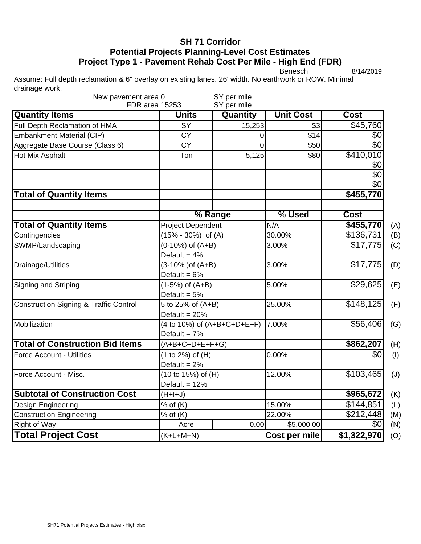#### **SH 71 Corridor Potential Projects Planning-Level Cost Estimates Project Type 1 - Pavement Rehab Cost Per Mile - High End (FDR)**

Benesch 8/14/2019

Assume: Full depth reclamation & 6" overlay on existing lanes. 26' width. No earthwork or ROW. Minimal drainage work.

| New pavement area 0                               | <b>FDR</b> area 15253    | SY per mile<br>SY per mile  |                  |                    |
|---------------------------------------------------|--------------------------|-----------------------------|------------------|--------------------|
| <b>Quantity Items</b>                             | <b>Units</b>             | Quantity                    | <b>Unit Cost</b> | <b>Cost</b>        |
| Full Depth Reclamation of HMA                     | SY                       | 15,253                      | \$3              | \$45,760           |
| <b>Embankment Material (CIP)</b>                  | <b>CY</b>                | 0                           | \$14             | \$0                |
| Aggregate Base Course (Class 6)                   | <b>CY</b>                | $\Omega$                    | \$50             | $\overline{50}$    |
| <b>Hot Mix Asphalt</b>                            | Ton                      | 5,125                       | \$80             | \$410,010          |
|                                                   |                          |                             |                  | \$0                |
|                                                   |                          |                             |                  | $\overline{50}$    |
|                                                   |                          |                             |                  | $\overline{50}$    |
| <b>Total of Quantity Items</b>                    |                          |                             |                  | \$455,770          |
|                                                   |                          | % Range                     | % Used           | <b>Cost</b>        |
| <b>Total of Quantity Items</b>                    | <b>Project Dependent</b> |                             | N/A              | \$455,770<br>(A)   |
| Contingencies                                     | $(15\% - 30\%)$ of (A)   |                             | 30.00%           | \$136,731<br>(B)   |
| SWMP/Landscaping                                  | $(0-10\%)$ of $(A+B)$    |                             | 3.00%            | \$17,775<br>(C)    |
|                                                   | Default = $4%$           |                             |                  |                    |
| Drainage/Utilities                                | $(3-10\% )$ of $(A+B)$   |                             | 3.00%            | \$17,775<br>(D)    |
|                                                   | Default = $6%$           |                             |                  |                    |
| Signing and Striping                              | $(1-5%)$ of $(A+B)$      |                             | 5.00%            | \$29,625<br>(E)    |
|                                                   | Default = $5%$           |                             |                  |                    |
| <b>Construction Signing &amp; Traffic Control</b> |                          | 5 to 25% of (A+B)           |                  | \$148,125<br>(F)   |
|                                                   | Default = $20%$          |                             |                  |                    |
| Mobilization                                      |                          | (4 to 10%) of (A+B+C+D+E+F) | 7.00%            | \$56,406<br>(G)    |
|                                                   | Default = $7%$           |                             |                  |                    |
| <b>Total of Construction Bid Items</b>            | $(A+B+C+D+E+F+G)$        |                             |                  | \$862,207<br>(H)   |
| <b>Force Account - Utilities</b>                  | $(1 to 2%)$ of $(H)$     |                             | 0.00%            | \$0<br>(I)         |
|                                                   | Default = $2%$           |                             |                  |                    |
| Force Account - Misc.                             | (10 to 15%) of (H)       |                             | 12.00%           | \$103,465<br>(J)   |
|                                                   | Default = $12%$          |                             |                  |                    |
| <b>Subtotal of Construction Cost</b>              | $(H+H)$                  |                             |                  | \$965,672<br>(K)   |
| Design Engineering                                | $%$ of $(K)$             |                             | 15.00%           | \$144,851<br>(L)   |
| <b>Construction Engineering</b>                   | $%$ of $(K)$             |                             | 22.00%           | \$212,448<br>(M)   |
| <b>Right of Way</b>                               | Acre                     | 0.00                        | \$5,000.00       | \$0<br>(N)         |
| <b>Total Project Cost</b>                         | $(K+L+M+N)$              |                             | Cost per mile    | \$1,322,970<br>(O) |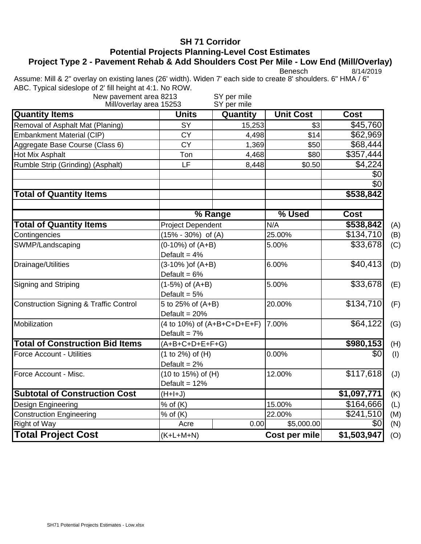#### **SH 71 Corridor Potential Projects Planning-Level Cost Estimates Project Type 2 - Pavement Rehab & Add Shoulders Cost Per Mile - Low End (Mill/Overlay)**

Benesch 8/14/2019

Assume: Mill & 2" overlay on existing lanes (26' width). Widen 7' each side to create 8' shoulders. 6" HMA / 6" ABC. Typical sideslope of 2' fill height at 4:1. No ROW.

| New pavement area 8213<br>Mill/overlay area 15253 |                          | SY per mile<br>SY per mile  |                  |                       |
|---------------------------------------------------|--------------------------|-----------------------------|------------------|-----------------------|
| <b>Quantity Items</b>                             | <b>Units</b>             | Quantity                    | <b>Unit Cost</b> | <b>Cost</b>           |
| Removal of Asphalt Mat (Planing)                  | SY                       | 15,253                      | \$3              | \$45,760              |
| <b>Embankment Material (CIP)</b>                  | <b>CY</b>                | 4,498                       | \$14             | \$62,969              |
| Aggregate Base Course (Class 6)                   | <b>CY</b>                | 1,369                       | \$50             | \$68,444              |
| <b>Hot Mix Asphalt</b>                            | Ton                      | 4,468                       | \$80             | \$357,444             |
| Rumble Strip (Grinding) (Asphalt)                 | <b>LF</b>                | 8,448                       | \$0.50           | \$4,224               |
|                                                   |                          |                             |                  | \$0                   |
|                                                   |                          |                             |                  | $\overline{\$0}$      |
| <b>Total of Quantity Items</b>                    |                          |                             |                  | \$538,842             |
|                                                   |                          | % Range                     | % Used           | <b>Cost</b>           |
| <b>Total of Quantity Items</b>                    | <b>Project Dependent</b> |                             | N/A              | \$538,842             |
| Contingencies                                     | $(15\% - 30\%)$ of (A)   |                             | 25.00%           | \$134,710             |
| SWMP/Landscaping                                  | $(0-10\%)$ of $(A+B)$    |                             | 5.00%            | \$33,678              |
|                                                   | Default = $4%$           |                             |                  |                       |
| Drainage/Utilities                                | $(3-10\% )$ of $(A+B)$   |                             | 6.00%            | \$40,413              |
|                                                   | Default = $6%$           |                             |                  |                       |
| Signing and Striping                              | $(1-5%)$ of $(A+B)$      |                             | 5.00%            | \$33,678              |
|                                                   | Default = $5%$           |                             |                  |                       |
| <b>Construction Signing &amp; Traffic Control</b> | 5 to 25% of (A+B)        |                             | 20.00%           | $\overline{$}134,710$ |
|                                                   | Default = $20%$          |                             |                  |                       |
| Mobilization                                      |                          | (4 to 10%) of (A+B+C+D+E+F) | 7.00%            | \$64,122              |
|                                                   | Default = $7%$           |                             |                  |                       |
| <b>Total of Construction Bid Items</b>            | $(A+B+C+D+E+F+G)$        |                             |                  | \$980,153             |
| <b>Force Account - Utilities</b>                  | $(1 to 2%)$ of $(H)$     |                             | 0.00%            | \$0                   |
|                                                   | Default = $2%$           |                             |                  |                       |
| Force Account - Misc.                             | (10 to 15%) of (H)       |                             | 12.00%           | \$117,618             |
|                                                   | Default = $12%$          |                             |                  |                       |
| <b>Subtotal of Construction Cost</b>              | $(H+H+)$                 |                             |                  | \$1,097,771           |
| Design Engineering                                | $%$ of $(K)$             |                             | 15.00%           | $\sqrt{$164,666}$     |
| <b>Construction Engineering</b>                   | $%$ of $(K)$             |                             | 22.00%           | \$241,510             |
| Right of Way                                      | Acre                     | 0.00                        | \$5,000.00       | \$0                   |
| <b>Total Project Cost</b>                         | $(K+L+M+N)$              |                             | Cost per mile    | \$1,503,947           |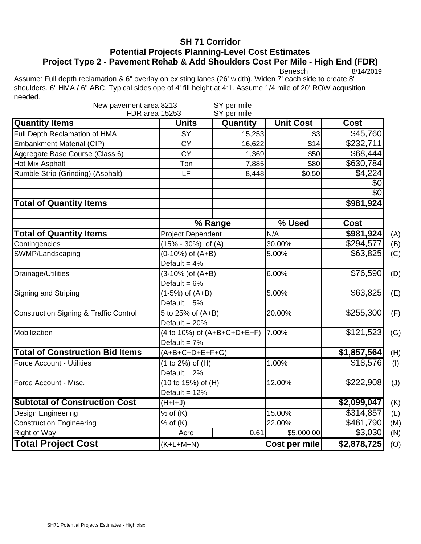#### **SH 71 Corridor Potential Projects Planning-Level Cost Estimates Project Type 2 - Pavement Rehab & Add Shoulders Cost Per Mile - High End (FDR)**

Benesch 8/14/2019

Assume: Full depth reclamation & 6" overlay on existing lanes (26' width). Widen 7' each side to create 8' shoulders. 6" HMA / 6" ABC. Typical sideslope of 4' fill height at 4:1. Assume 1/4 mile of 20' ROW acqusition needed.

| New pavement area 8213                            | <b>FDR</b> area 15253    | SY per mile<br>SY per mile  |                      |             |     |
|---------------------------------------------------|--------------------------|-----------------------------|----------------------|-------------|-----|
| <b>Quantity Items</b>                             | <b>Units</b>             | Quantity                    | <b>Unit Cost</b>     | <b>Cost</b> |     |
| <b>Full Depth Reclamation of HMA</b>              | SY                       | 15,253                      | \$3                  | \$45,760    |     |
| Embankment Material (CIP)                         | <b>CY</b>                | 16,622                      | \$14                 | \$232,711   |     |
| Aggregate Base Course (Class 6)                   | <b>CY</b>                | 1,369                       | \$50                 | \$68,444    |     |
| <b>Hot Mix Asphalt</b>                            | Ton                      | 7,885                       | \$80                 | \$630,784   |     |
| Rumble Strip (Grinding) (Asphalt)                 | <b>LF</b>                | 8,448                       | \$0.50               | \$4,224     |     |
|                                                   |                          |                             |                      | \$0         |     |
|                                                   |                          |                             |                      | \$0         |     |
| <b>Total of Quantity Items</b>                    |                          |                             |                      | \$981,924   |     |
|                                                   |                          | % Range                     | % Used               | <b>Cost</b> |     |
| <b>Total of Quantity Items</b>                    | <b>Project Dependent</b> |                             | N/A                  | \$981,924   | (A) |
| Contingencies                                     | $(15\% - 30\%)$ of (A)   |                             | 30.00%               | \$294,577   | (B) |
| SWMP/Landscaping                                  |                          | $(0-10\%)$ of $(A+B)$       |                      | \$63,825    | (C) |
|                                                   | Default = $4%$           |                             |                      |             |     |
| Drainage/Utilities                                | $(3-10\% )$ of $(A+B)$   |                             | 6.00%                | \$76,590    | (D) |
|                                                   | Default = $6%$           |                             |                      |             |     |
| Signing and Striping                              | $(1-5%)$ of $(A+B)$      |                             | 5.00%                | \$63,825    | (E) |
|                                                   | Default = $5%$           |                             |                      |             |     |
| <b>Construction Signing &amp; Traffic Control</b> | 5 to 25% of (A+B)        |                             | 20.00%               | \$255,300   | (F) |
|                                                   | Default = $20%$          |                             |                      |             |     |
| Mobilization                                      |                          | (4 to 10%) of (A+B+C+D+E+F) | 7.00%                | \$121,523   | (G) |
|                                                   | Default = $7%$           |                             |                      |             |     |
| <b>Total of Construction Bid Items</b>            | $(A+B+C+D+E+F+G)$        |                             |                      | \$1,857,564 | (H) |
| <b>Force Account - Utilities</b>                  | (1 to 2%) of (H)         |                             | 1.00%                | \$18,576    | (1) |
|                                                   | Default = $2%$           |                             |                      |             |     |
| Force Account - Misc.                             | (10 to 15%) of (H)       |                             | 12.00%               | \$222,908   | (J) |
|                                                   | Default = $12%$          |                             |                      |             |     |
| <b>Subtotal of Construction Cost</b>              | $(H+H+)$                 |                             |                      | \$2,099,047 | (K) |
| Design Engineering                                | $%$ of $(K)$             |                             | 15.00%               | \$314,857   | (L) |
| <b>Construction Engineering</b>                   | $%$ of $(K)$             |                             | 22.00%               | \$461,790   | (M) |
| <b>Right of Way</b>                               | Acre                     | 0.61                        | \$5,000.00           | \$3,030     | (N) |
| <b>Total Project Cost</b>                         | $(K+L+M+N)$              |                             | <b>Cost per mile</b> | \$2,878,725 | (O) |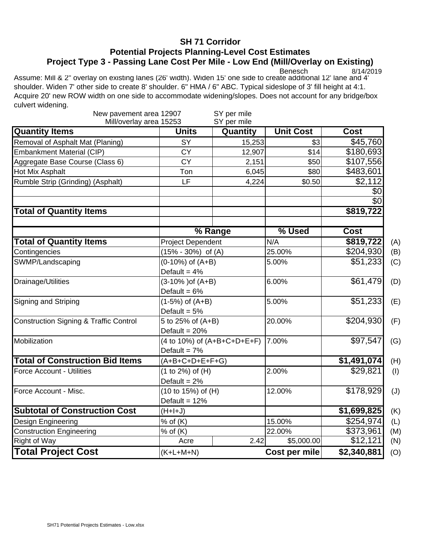#### **SH 71 Corridor Potential Projects Planning-Level Cost Estimates Project Type 3 - Passing Lane Cost Per Mile - Low End (Mill/Overlay on Existing)**

Benesch 8/14/2019

Assume: Mill & 2" overlay on existing lanes (26' width). Widen 15' one side to create additional 12' lane and 4' shoulder. Widen 7' other side to create 8' shoulder. 6" HMA / 6" ABC. Typical sideslope of 3' fill height at 4:1. Acquire 20' new ROW width on one side to accommodate widening/slopes. Does not account for any bridge/box culvert widening.

| New pavement area 12907<br>Mill/overlay area 15253 |                          | SY per mile<br>SY per mile                       |                      |                      |     |
|----------------------------------------------------|--------------------------|--------------------------------------------------|----------------------|----------------------|-----|
| <b>Quantity Items</b>                              | <b>Units</b>             | Quantity                                         | <b>Unit Cost</b>     | <b>Cost</b>          |     |
| Removal of Asphalt Mat (Planing)                   | <b>SY</b>                | 15,253                                           | \$3                  | \$45,760             |     |
| Embankment Material (CIP)                          | <b>CY</b>                | 12,907                                           | \$14                 | \$180,693            |     |
| Aggregate Base Course (Class 6)                    | <b>CY</b>                | 2,151                                            | \$50                 | \$107,556            |     |
| Hot Mix Asphalt                                    | Ton                      | 6,045                                            | \$80                 | \$483,601            |     |
| Rumble Strip (Grinding) (Asphalt)                  | LF                       | 4,224                                            | \$0.50               | \$2,112              |     |
|                                                    |                          |                                                  |                      | \$0                  |     |
|                                                    |                          |                                                  |                      | $\overline{50}$      |     |
| <b>Total of Quantity Items</b>                     |                          |                                                  |                      | \$819,722            |     |
|                                                    |                          | % Range                                          | % Used               | <b>Cost</b>          |     |
| <b>Total of Quantity Items</b>                     | <b>Project Dependent</b> |                                                  | N/A                  | \$819,722            | (A) |
| Contingencies                                      | $(15\% - 30\%)$ of (A)   |                                                  | 25.00%               | \$204,930            | (B) |
| SWMP/Landscaping                                   |                          | $(0-10\%)$ of $(A+B)$                            |                      | \$51,233             | (C) |
|                                                    | Default = $4%$           |                                                  |                      |                      |     |
| Drainage/Utilities                                 | $(3-10\%)$ of $(A+B)$    |                                                  | 6.00%                | \$61,479             | (D) |
|                                                    | Default = $6%$           |                                                  |                      |                      |     |
| Signing and Striping                               | $(1-5%)$ of $(A+B)$      |                                                  | 5.00%                | \$51,233             | (E) |
|                                                    | Default = $5%$           |                                                  |                      |                      |     |
| <b>Construction Signing &amp; Traffic Control</b>  | 5 to 25% of (A+B)        |                                                  | 20.00%               | \$204,930            | (F) |
|                                                    | Default = $20%$          |                                                  |                      |                      |     |
| Mobilization                                       |                          | $\sqrt{(4 \text{ to } 10\%)}$ of $(A+B+C+D+E+F)$ | 7.00%                | \$97,547             | (G) |
|                                                    | Default = $7%$           |                                                  |                      |                      |     |
| <b>Total of Construction Bid Items</b>             | $(A+B+C+D+E+F+G)$        |                                                  |                      | \$1,491,074          | (H) |
| <b>Force Account - Utilities</b>                   | $(1 to 2\%)$ of $(H)$    |                                                  | 2.00%                | $\overline{$}29,821$ | (1) |
|                                                    | Default = $2%$           |                                                  |                      |                      |     |
| Force Account - Misc.                              | (10 to 15%) of (H)       |                                                  | 12.00%               | \$178,929            | (J) |
|                                                    | Default = $12%$          |                                                  |                      |                      |     |
| <b>Subtotal of Construction Cost</b>               | $(H+H+)$                 |                                                  |                      | \$1,699,825          | (K) |
| Design Engineering                                 | $%$ of $(K)$             |                                                  | 15.00%               | \$254,974            | (L) |
| <b>Construction Engineering</b>                    | $%$ of $(K)$             |                                                  | 22.00%               | \$373,961            | (M) |
| <b>Right of Way</b>                                | Acre                     | 2.42                                             | \$5,000.00           | \$12,121             | (N) |
| <b>Total Project Cost</b>                          | $(K+L+M+N)$              |                                                  | <b>Cost per mile</b> | \$2,340,881          | (O) |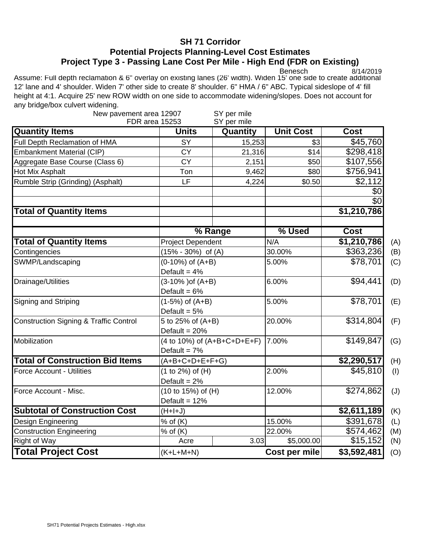#### **SH 71 Corridor Potential Projects Planning-Level Cost Estimates Project Type 3 - Passing Lane Cost Per Mile - High End (FDR on Existing)**

Benesch 8/14/2019

Assume: Full depth reclamation & 6" overlay on existing lanes (26' width). Widen 15' one side to create additional 12' lane and 4' shoulder. Widen 7' other side to create 8' shoulder. 6" HMA / 6" ABC. Typical sideslope of 4' fill height at 4:1. Acquire 25' new ROW width on one side to accommodate widening/slopes. Does not account for any bridge/box culvert widening.

| New pavement area 12907                           | <b>FDR</b> area 15253    | SY per mile<br>SY per mile      |                  |                 |     |
|---------------------------------------------------|--------------------------|---------------------------------|------------------|-----------------|-----|
| <b>Quantity Items</b>                             | <b>Units</b>             | <b>Quantity</b>                 | <b>Unit Cost</b> | <b>Cost</b>     |     |
| Full Depth Reclamation of HMA                     | SY                       | 15,253                          | \$3              | \$45,760        |     |
| <b>Embankment Material (CIP)</b>                  | <b>CY</b>                | 21,316                          | \$14             | \$298,418       |     |
| Aggregate Base Course (Class 6)                   | <b>CY</b>                | 2,151                           | \$50             | \$107,556       |     |
| Hot Mix Asphalt                                   | Ton                      | 9,462                           | \$80             | \$756,941       |     |
| Rumble Strip (Grinding) (Asphalt)                 | <b>LF</b>                | 4,224                           | \$0.50           | \$2,112         |     |
|                                                   |                          |                                 |                  | \$0             |     |
|                                                   |                          |                                 |                  | $\overline{30}$ |     |
| <b>Total of Quantity Items</b>                    |                          |                                 |                  | \$1,210,786     |     |
|                                                   |                          | % Range                         | % Used           | <b>Cost</b>     |     |
| <b>Total of Quantity Items</b>                    | <b>Project Dependent</b> |                                 | N/A              | \$1,210,786     | (A) |
| Contingencies                                     | $(15\% - 30\%)$ of (A)   |                                 | 30.00%           | \$363,236       | (B) |
| SWMP/Landscaping                                  |                          | $(0-10\%)$ of $(A+B)$           |                  | \$78,701        | (C) |
|                                                   | Default = $4%$           |                                 |                  |                 |     |
| Drainage/Utilities                                | $(3-10\%)$ of $(A+B)$    |                                 | 6.00%            | \$94,441        | (D) |
|                                                   | Default = $6%$           |                                 |                  |                 |     |
| Signing and Striping                              | $(1-5%)$ of $(A+B)$      |                                 | 5.00%            | \$78,701        | (E) |
|                                                   | Default = $5%$           |                                 |                  |                 |     |
| <b>Construction Signing &amp; Traffic Control</b> | 5 to 25% of (A+B)        |                                 | 20.00%           | \$314,804       | (F) |
|                                                   | Default = $20%$          |                                 | 7.00%            |                 |     |
| Mobilization                                      |                          | $(4 to 10%)$ of $(A+B+C+D+E+F)$ |                  | \$149,847       | (G) |
|                                                   | Default = $7%$           |                                 |                  |                 |     |
| <b>Total of Construction Bid Items</b>            | $(A+B+C+D+E+F+G)$        |                                 |                  | \$2,290,517     | (H) |
| <b>Force Account - Utilities</b>                  | (1 to 2%) of (H)         |                                 | 2.00%            | \$45,810        | (1) |
|                                                   | Default = $2%$           |                                 |                  |                 |     |
| Force Account - Misc.                             | (10 to 15%) of (H)       |                                 | 12.00%           | \$274,862       | (J) |
|                                                   | Default = $12%$          |                                 |                  |                 |     |
| <b>Subtotal of Construction Cost</b>              | $(H+H+)$                 |                                 |                  | \$2,611,189     | (K) |
| Design Engineering                                | $%$ of $(K)$             |                                 | 15.00%           | \$391,678       | (L) |
| <b>Construction Engineering</b>                   | $%$ of $(K)$             |                                 | 22.00%           | \$574,462       | (M) |
| <b>Right of Way</b>                               | Acre                     | 3.03                            | \$5,000.00       | \$15,152        | (N) |
| <b>Total Project Cost</b>                         | $(K+L+M+N)$              |                                 | Cost per mile    | \$3,592,481     | (O) |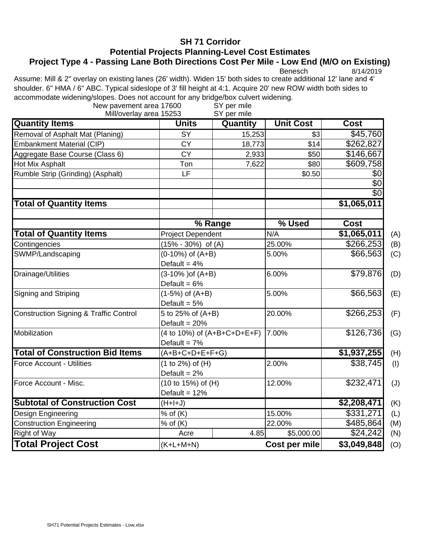### **SH 71 Corridor Potential Projects Planning-Level Cost Estimates**

**Project Type 4 - Passing Lane Both Directions Cost Per Mile - Low End (M/O on Existing)**

Benesch 8/14/2019

Assume: Mill & 2" overlay on existing lanes (26' width). Widen 15' both sides to create additional 12' lane and 4' shoulder. 6" HMA / 6" ABC. Typical sideslope of 3' fill height at 4:1. Acquire 20' new ROW width both sides to accommodate widening/slopes. Does not account for any bridge/box culvert widening.

| New pavement area 17600<br>Mill/overlay area 15253 |                          | SY per mile<br>SY per mile  |                  |                        |     |
|----------------------------------------------------|--------------------------|-----------------------------|------------------|------------------------|-----|
| <b>Quantity Items</b>                              | <b>Units</b>             | Quantity                    | <b>Unit Cost</b> | <b>Cost</b>            |     |
| Removal of Asphalt Mat (Planing)                   | <b>SY</b>                | 15,253                      | \$3              | \$45,760               |     |
| Embankment Material (CIP)                          | <b>CY</b>                | 18,773                      | \$14             | \$262,827              |     |
| Aggregate Base Course (Class 6)                    | <b>CY</b>                | 2,933                       | \$50             | \$146,667              |     |
| Hot Mix Asphalt                                    | Ton                      | 7,622                       | \$80             | \$609,758              |     |
| Rumble Strip (Grinding) (Asphalt)                  | <b>LF</b>                |                             | \$0.50           | \$0                    |     |
|                                                    |                          |                             |                  | $\overline{50}$        |     |
|                                                    |                          |                             |                  | $\overline{50}$        |     |
| <b>Total of Quantity Items</b>                     |                          |                             |                  | \$1,065,011            |     |
|                                                    |                          | % Range                     | % Used           | <b>Cost</b>            |     |
| <b>Total of Quantity Items</b>                     | <b>Project Dependent</b> |                             | N/A              | $\overline{1,065,011}$ | (A) |
| Contingencies                                      | $(15\% - 30\%)$ of (A)   |                             | 25.00%           | \$266,253              | (B) |
| SWMP/Landscaping                                   | $(0-10\%)$ of $(A+B)$    |                             | 5.00%            | \$66,563               | (C) |
|                                                    | Default = $4%$           |                             |                  |                        |     |
| Drainage/Utilities                                 | $(3-10\% )$ of $(A+B)$   |                             | 6.00%            | \$79,876               | (D) |
|                                                    | Default = $6%$           |                             |                  |                        |     |
| Signing and Striping                               | $(1-5%)$ of $(A+B)$      |                             | 5.00%            | \$66,563               | (E) |
|                                                    | Default = $5%$           |                             |                  |                        |     |
| <b>Construction Signing &amp; Traffic Control</b>  | 5 to 25% of (A+B)        |                             | 20.00%           | \$266,253              | (F) |
|                                                    | Default = $20%$          |                             |                  |                        |     |
| Mobilization                                       |                          | (4 to 10%) of (A+B+C+D+E+F) | 7.00%            | \$126,736              | (G) |
|                                                    | Default = $7%$           |                             |                  |                        |     |
| <b>Total of Construction Bid Items</b>             | (A+B+C+D+E+F+G)          |                             |                  | \$1,937,255            | (H) |
| <b>Force Account - Utilities</b>                   | $(1 to 2\%)$ of $(H)$    |                             | 2.00%            | \$38,745               | (I) |
|                                                    | Default = $2%$           |                             |                  |                        |     |
| Force Account - Misc.                              | (10 to 15%) of (H)       |                             | 12.00%           | \$232,471              | (J) |
|                                                    | Default = $12%$          |                             |                  |                        |     |
| <b>Subtotal of Construction Cost</b>               | $(H+H+)$                 |                             |                  | \$2,208,471            | (K) |
| Design Engineering                                 | $%$ of $(K)$             |                             | 15.00%           | 3331,271               | (L) |
| <b>Construction Engineering</b>                    | $%$ of $(K)$             |                             | 22.00%           | \$485,864              | (M) |
| <b>Right of Way</b>                                | Acre                     | 4.85                        | \$5,000.00       | \$24,242               | (N) |
| <b>Total Project Cost</b>                          | $(K+L+M+N)$              |                             | Cost per mile    | \$3,049,848            | (O) |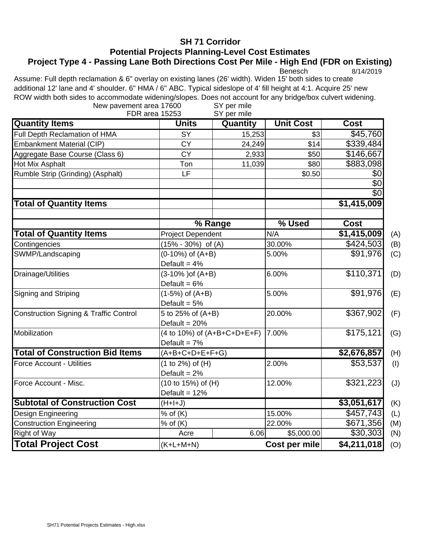### **SH 71 Corridor Potential Projects Planning-Level Cost Estimates**

## **Project Type 4 - Passing Lane Both Directions Cost Per Mile - High End (FDR on Existing)**

Benesch 8/14/2019

 $N_{\text{out}}$  pavement area  $17600$   $\sim$  SV per mile Assume: Full depth reclamation & 6" overlay on existing lanes (26' width). Widen 15' both sides to create additional 12' lane and 4' shoulder. 6" HMA / 6" ABC. Typical sideslope of 4' fill height at 4:1. Acquire 25' new ROW width both sides to accommodate widening/slopes. Does not account for any bridge/box culvert widening.

| <b>Quantity Items</b>                             | <b>FDR</b> area 15253<br><b>Units</b> | SY per mile<br><b>Quantity</b>  | <b>Unit Cost</b> | <b>Cost</b>           |     |
|---------------------------------------------------|---------------------------------------|---------------------------------|------------------|-----------------------|-----|
| Full Depth Reclamation of HMA                     | <b>SY</b>                             | 15,253                          | \$3              | \$45,760              |     |
| <b>Embankment Material (CIP)</b>                  | <b>CY</b>                             | 24,249                          | \$14             | \$339,484             |     |
| Aggregate Base Course (Class 6)                   | <b>CY</b>                             | 2,933                           | \$50             | \$146,667             |     |
| <b>Hot Mix Asphalt</b>                            | Ton                                   | 11,039                          | \$80             | \$883,098             |     |
| Rumble Strip (Grinding) (Asphalt)                 | <b>LF</b>                             |                                 | \$0.50           | \$0                   |     |
|                                                   |                                       |                                 |                  | $\overline{50}$       |     |
|                                                   |                                       |                                 |                  | $\overline{50}$       |     |
| <b>Total of Quantity Items</b>                    |                                       |                                 |                  | \$1,415,009           |     |
|                                                   |                                       |                                 |                  |                       |     |
|                                                   |                                       | % Range                         | % Used           | <b>Cost</b>           |     |
| <b>Total of Quantity Items</b>                    | <b>Project Dependent</b>              |                                 | N/A              | \$1,415,009           | (A) |
| Contingencies                                     | $(15\% - 30\%)$ of (A)                |                                 | 30.00%           | \$424,503             | (B) |
| SWMP/Landscaping                                  | $(0-10\%)$ of $(A+B)$                 |                                 | 5.00%            | \$91,976              | (C) |
|                                                   | Default = $4\%$                       |                                 |                  |                       |     |
| Drainage/Utilities                                | $(3-10\%)$ of $(A+B)$                 |                                 | 6.00%            | \$110,371             | (D) |
|                                                   | Default = $6%$                        |                                 |                  |                       |     |
| Signing and Striping                              | $(1-5%)$ of $(A+B)$                   |                                 | 5.00%            | \$91,976              | (E) |
|                                                   | Default = $5%$                        |                                 |                  |                       |     |
| <b>Construction Signing &amp; Traffic Control</b> | 5 to 25% of (A+B)                     |                                 | 20.00%           | \$367,902             | (F) |
|                                                   | Default = $20%$                       |                                 |                  |                       |     |
| Mobilization                                      |                                       | $(4 to 10%)$ of $(A+B+C+D+E+F)$ | 7.00%            | $\overline{$175,121}$ | (G) |
|                                                   | Default = $7\%$                       |                                 |                  |                       |     |
| <b>Total of Construction Bid Items</b>            | $(A+B+C+D+E+F+G)$                     |                                 |                  | \$2,676,857           | (H) |
| <b>Force Account - Utilities</b>                  | $(1 to 2%)$ of $(H)$                  |                                 | 2.00%            | \$53,537              | (I) |
|                                                   | Default = $2%$                        |                                 |                  |                       |     |
| Force Account - Misc.                             | (10 to 15%) of (H)                    |                                 | 12.00%           | \$321,223             | (J) |
|                                                   | Default = $12%$                       |                                 |                  |                       |     |
| <b>Subtotal of Construction Cost</b>              | $(H+H+)$                              |                                 |                  | \$3,051,617           | (K) |
| Design Engineering                                | $%$ of $(K)$                          |                                 | 15.00%           | \$457,743             | (L) |
| <b>Construction Engineering</b>                   | $%$ of $(K)$                          |                                 | 22.00%           | \$671,356             | (M) |
| Right of Way                                      | Acre                                  | 6.06                            | \$5,000.00       | \$30,303              | (N) |
| <b>Total Project Cost</b>                         | $(K+L+M+N)$                           |                                 | Cost per mile    | \$4,211,018           | (O) |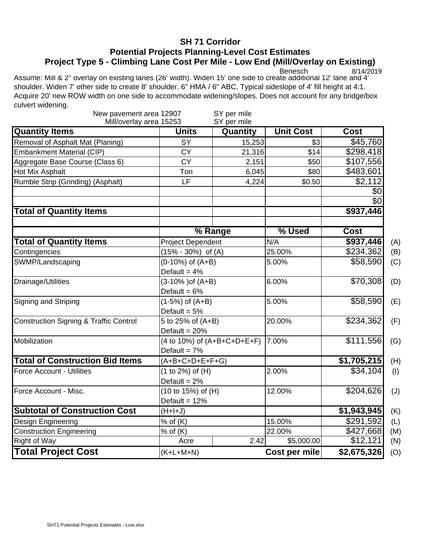#### **SH 71 Corridor Potential Projects Planning-Level Cost Estimates Project Type 5 - Climbing Lane Cost Per Mile - Low End (Mill/Overlay on Existing)**

Benesch 8/14/2019

Assume: Mill & 2" overlay on existing lanes (26' width). Widen 15' one side to create additional 12' lane and 4' shoulder. Widen 7' other side to create 8' shoulder. 6" HMA / 6" ABC. Typical sideslope of 4' fill height at 4:1. Acquire 20' new ROW width on one side to accommodate widening/slopes. Does not account for any bridge/box culvert widening.

| New pavement area 12907<br>Mill/overlay area 15253 |                          | SY per mile<br>SY per mile      |                  |                 |     |
|----------------------------------------------------|--------------------------|---------------------------------|------------------|-----------------|-----|
| <b>Quantity Items</b>                              | <b>Units</b>             | Quantity                        | <b>Unit Cost</b> | <b>Cost</b>     |     |
| Removal of Asphalt Mat (Planing)                   | SY                       | 15,253                          | \$3              | \$45,760        |     |
| <b>Embankment Material (CIP)</b>                   | <b>CY</b>                | 21,316                          | \$14             | \$298,418       |     |
| Aggregate Base Course (Class 6)                    | <b>CY</b>                | 2,151                           | \$50             | \$107,556       |     |
| <b>Hot Mix Asphalt</b>                             | Ton                      | 6,045                           | \$80             | \$483,601       |     |
| Rumble Strip (Grinding) (Asphalt)                  | LF                       | 4,224                           | \$0.50           | \$2,112         |     |
|                                                    |                          |                                 |                  | \$0             |     |
|                                                    |                          |                                 |                  | $\overline{30}$ |     |
| <b>Total of Quantity Items</b>                     |                          |                                 |                  | \$937,446       |     |
|                                                    |                          | % Range                         | % Used           | <b>Cost</b>     |     |
| <b>Total of Quantity Items</b>                     | <b>Project Dependent</b> |                                 | N/A              | \$937,446       | (A) |
| Contingencies                                      | $(15\% - 30\%)$ of (A)   |                                 | 25.00%           | \$234,362       | (B) |
| SWMP/Landscaping                                   | $(0-10\%)$ of $(A+B)$    |                                 | 5.00%            | \$58,590        | (C) |
|                                                    | Default = $4%$           |                                 |                  |                 |     |
| <b>Drainage/Utilities</b>                          | $(3-10\%)$ of $(A+B)$    |                                 | 6.00%            | \$70,308        | (D) |
|                                                    | Default = $6%$           |                                 |                  |                 |     |
| <b>Signing and Striping</b>                        | $(1-5%)$ of $(A+B)$      |                                 | 5.00%            | \$58,590        | (E) |
|                                                    | Default = $5%$           |                                 |                  |                 |     |
| <b>Construction Signing &amp; Traffic Control</b>  | 5 to 25% of (A+B)        |                                 | 20.00%           | \$234,362       | (F) |
|                                                    | Default = $20%$          |                                 |                  |                 |     |
| Mobilization                                       |                          | $(4 to 10%)$ of $(A+B+C+D+E+F)$ | 7.00%            | \$111,556       | (G) |
|                                                    | Default = $7%$           |                                 |                  |                 |     |
| <b>Total of Construction Bid Items</b>             | (A+B+C+D+E+F+G)          |                                 |                  | \$1,705,215     | (H) |
| Force Account - Utilities                          | (1 to 2%) of (H)         |                                 | 2.00%            | \$34,104        | (I) |
|                                                    | Default = $2%$           |                                 |                  |                 |     |
| Force Account - Misc.                              | (10 to 15%) of (H)       |                                 | 12.00%           | \$204,626       | (J) |
|                                                    | Default = $12%$          |                                 |                  |                 |     |
| <b>Subtotal of Construction Cost</b>               | $(H+H)$                  |                                 |                  | \$1,943,945     | (K) |
| <b>Design Engineering</b>                          | $%$ of $(K)$             |                                 | 15.00%           | \$291,592       | (L) |
| <b>Construction Engineering</b>                    | $%$ of $(K)$             |                                 | 22.00%           | \$427,668       | (M) |
| Right of Way                                       | Acre                     | 2.42                            | \$5,000.00       | \$12,121        | (N) |
| <b>Total Project Cost</b>                          | $(K+L+M+N)$              |                                 | Cost per mile    | \$2,675,326     | (O) |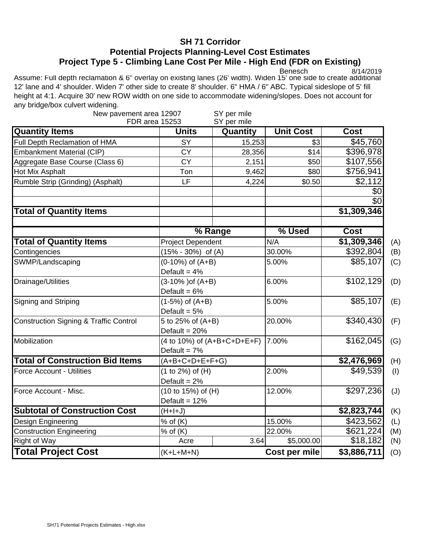#### **SH 71 Corridor Potential Projects Planning-Level Cost Estimates Project Type 5 - Climbing Lane Cost Per Mile - High End (FDR on Existing)**

Benesch 8/14/2019

Assume: Full depth reclamation & 6" overlay on existing lanes (26' width). Widen 15' one side to create additional 12' lane and 4' shoulder. Widen 7' other side to create 8' shoulder. 6" HMA / 6" ABC. Typical sideslope of 5' fill height at 4:1. Acquire 30' new ROW width on one side to accommodate widening/slopes. Does not account for any bridge/box culvert widening.

| New pavement area 12907                           | <b>FDR</b> area 15253    | SY per mile<br>SY per mile  |                  |                 |     |
|---------------------------------------------------|--------------------------|-----------------------------|------------------|-----------------|-----|
| <b>Quantity Items</b>                             | <b>Units</b>             | <b>Quantity</b>             | <b>Unit Cost</b> | <b>Cost</b>     |     |
| Full Depth Reclamation of HMA                     | SY                       | 15,253                      | \$3              | \$45,760        |     |
| <b>Embankment Material (CIP)</b>                  | <b>CY</b>                | 28,356                      | \$14             | \$396,978       |     |
| Aggregate Base Course (Class 6)                   | <b>CY</b>                | 2,151                       | \$50             | \$107,556       |     |
| Hot Mix Asphalt                                   | Ton                      | 9,462                       | \$80             | \$756,941       |     |
| Rumble Strip (Grinding) (Asphalt)                 | LF                       | 4,224                       | \$0.50           | \$2,112         |     |
|                                                   |                          |                             |                  | \$0             |     |
|                                                   |                          |                             |                  | $\overline{50}$ |     |
| <b>Total of Quantity Items</b>                    |                          |                             |                  | \$1,309,346     |     |
|                                                   |                          | % Range                     | % Used           | <b>Cost</b>     |     |
| <b>Total of Quantity Items</b>                    | <b>Project Dependent</b> |                             | N/A              | \$1,309,346     | (A) |
| Contingencies                                     | $(15\% - 30\%)$ of (A)   |                             | 30.00%           | \$392,804       | (B) |
| SWMP/Landscaping                                  |                          | $(0-10\%)$ of $(A+B)$       |                  | \$85,107        | (C) |
|                                                   | Default = $4%$           |                             |                  |                 |     |
| Drainage/Utilities                                | $(3-10\% )$ of $(A+B)$   |                             | 6.00%            | \$102,129       | (D) |
|                                                   | Default = $6%$           |                             |                  |                 |     |
| <b>Signing and Striping</b>                       | $(1-5%)$ of $(A+B)$      |                             | 5.00%            | \$85,107        | (E) |
|                                                   | Default = $5%$           |                             |                  |                 |     |
| <b>Construction Signing &amp; Traffic Control</b> | 5 to 25% of (A+B)        |                             | 20.00%           | \$340,430       | (F) |
|                                                   | Default = $20%$          |                             |                  |                 |     |
| Mobilization                                      |                          | (4 to 10%) of (A+B+C+D+E+F) | 7.00%            | \$162,045       | (G) |
|                                                   | Default = $7%$           |                             |                  |                 |     |
| <b>Total of Construction Bid Items</b>            | (A+B+C+D+E+F+G)          |                             |                  | \$2,476,969     | (H) |
| <b>Force Account - Utilities</b>                  | $(1 to 2%)$ of $(H)$     |                             | 2.00%            | \$49,539        | (I) |
|                                                   | Default = $2%$           |                             |                  |                 |     |
| Force Account - Misc.                             | (10 to 15%) of (H)       |                             | 12.00%           | \$297,236       | (J) |
|                                                   | Default = 12%            |                             |                  |                 |     |
| <b>Subtotal of Construction Cost</b>              | $(H+H)$                  |                             |                  | \$2,823,744     | (K) |
| Design Engineering                                | $%$ of $(K)$             |                             | 15.00%           | \$423,562       | (L) |
| <b>Construction Engineering</b>                   | % of (K)                 |                             | 22.00%           | \$621,224       | (M) |
| <b>Right of Way</b>                               | Acre                     | 3.64                        | \$5,000.00       | \$18,182        | (N) |
| <b>Total Project Cost</b>                         | $(K+L+M+N)$              |                             | Cost per mile    | \$3,886,711     | (O) |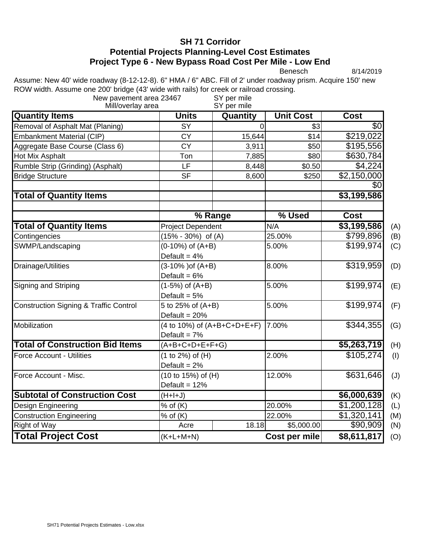#### **SH 71 Corridor Potential Projects Planning-Level Cost Estimates Project Type 6 - New Bypass Road Cost Per Mile - Low End**

Benesch 8/14/2019

Assume: New 40' wide roadway (8-12-12-8). 6" HMA / 6" ABC. Fill of 2' under roadway prism. Acquire 150' new ROW width. Assume one 200' bridge (43' wide with rails) for creek or railroad crossing.

| New pavement area 23467<br>Mill/overlay area      |                             | SY per mile<br>SY per mile |                  |                         |     |
|---------------------------------------------------|-----------------------------|----------------------------|------------------|-------------------------|-----|
| <b>Quantity Items</b>                             | <b>Units</b>                | Quantity                   | <b>Unit Cost</b> | <b>Cost</b>             |     |
| Removal of Asphalt Mat (Planing)                  | $\overline{SY}$             | $\Omega$                   | \$3              | $\overline{50}$         |     |
| <b>Embankment Material (CIP)</b>                  | <b>CY</b>                   | 15,644                     | \$14             | \$219,022               |     |
| Aggregate Base Course (Class 6)                   | <b>CY</b>                   | 3,911                      | \$50             | \$195,556               |     |
| Hot Mix Asphalt                                   | Ton                         | 7,885                      | \$80             | \$630,784               |     |
| Rumble Strip (Grinding) (Asphalt)                 | <b>LF</b>                   | 8,448                      | \$0.50           | \$4,224                 |     |
| <b>Bridge Structure</b>                           | <b>SF</b>                   | 8,600                      | \$250            | \$2,150,000             |     |
|                                                   |                             |                            |                  | \$0                     |     |
| <b>Total of Quantity Items</b>                    |                             |                            |                  | \$3,199,586             |     |
|                                                   |                             | % Range                    | % Used           | <b>Cost</b>             |     |
| <b>Total of Quantity Items</b>                    | <b>Project Dependent</b>    |                            | N/A              | \$3,199,586             | (A) |
| Contingencies                                     | $(15\% - 30\%)$ of (A)      |                            | 25.00%           | \$799,896               | (B) |
| SWMP/Landscaping                                  | $(0-10\%)$ of $(A+B)$       |                            | 5.00%            | \$199,974               | (C) |
|                                                   | Default = $4%$              |                            |                  |                         |     |
| Drainage/Utilities                                | $(3-10\%)$ of $(A+B)$       |                            | 8.00%            | $\overline{$}319,959$   | (D) |
|                                                   | Default = $6%$              |                            |                  |                         |     |
| Signing and Striping                              |                             | $(1-5%)$ of $(A+B)$        |                  | \$199,974               | (E) |
|                                                   | Default = $5%$              |                            |                  |                         |     |
| <b>Construction Signing &amp; Traffic Control</b> | 5 to 25% of (A+B)           |                            | 5.00%            | \$199,974               | (F) |
|                                                   | Default = $20%$             |                            |                  |                         |     |
| Mobilization                                      | (4 to 10%) of (A+B+C+D+E+F) |                            | 7.00%            | \$344,355               | (G) |
|                                                   | Default = $7%$              |                            |                  |                         |     |
| <b>Total of Construction Bid Items</b>            | $(A+B+C+D+E+F+G)$           |                            |                  | \$5,263,719             | (H) |
| <b>Force Account - Utilities</b>                  | $(1 to 2%)$ of $(H)$        |                            | 2.00%            | \$105,274               | (I) |
|                                                   | Default = $2%$              |                            |                  |                         |     |
| Force Account - Misc.                             | (10 to 15%) of (H)          |                            | 12.00%           | \$631,646               | (J) |
|                                                   | Default = $12%$             |                            |                  |                         |     |
| <b>Subtotal of Construction Cost</b>              | $(H+H)$                     |                            |                  | \$6,000,639             | (K) |
| <b>Design Engineering</b>                         | $%$ of $(K)$                |                            | 20.00%           | \$1,200,128             | (L) |
| <b>Construction Engineering</b>                   | $%$ of $(K)$                |                            | 22.00%           | $\overline{$}1,320,141$ | (M) |
| <b>Right of Way</b>                               | Acre                        | 18.18                      | \$5,000.00       | \$90,909                | (N) |
| <b>Total Project Cost</b>                         | $(K+L+M+N)$                 |                            | Cost per mile    | \$8,611,817             | (O) |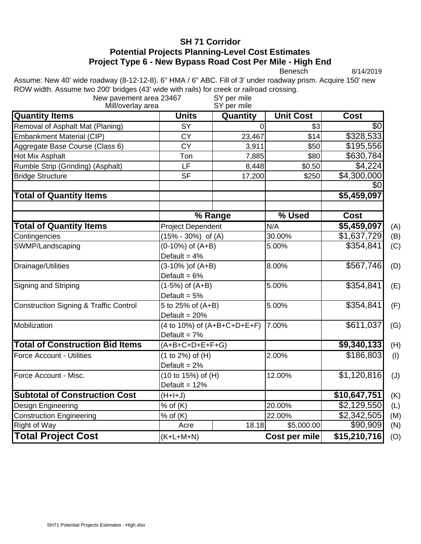#### **SH 71 Corridor Potential Projects Planning-Level Cost Estimates Project Type 6 - New Bypass Road Cost Per Mile - High End**

Benesch 8/14/2019

Assume: New 40' wide roadway (8-12-12-8). 6" HMA / 6" ABC. Fill of 3' under roadway prism. Acquire 150' new ROW width. Assume two 200' bridges (43' wide with rails) for creek or railroad crossing.

| New pavement area 23467<br>Mill/overlay area      |                          | SY per mile<br>SY per mile      |                  |                          |     |
|---------------------------------------------------|--------------------------|---------------------------------|------------------|--------------------------|-----|
| <b>Quantity Items</b>                             | <b>Units</b>             | <b>Quantity</b>                 | <b>Unit Cost</b> | <b>Cost</b>              |     |
| Removal of Asphalt Mat (Planing)                  | <b>SY</b>                | 0                               | \$3              | \$0                      |     |
| Embankment Material (CIP)                         | <b>CY</b>                | 23,467                          | \$14             | \$328,533                |     |
| Aggregate Base Course (Class 6)                   | <b>CY</b>                | 3,911                           | \$50             | \$195,556                |     |
| <b>Hot Mix Asphalt</b>                            | Ton                      | 7,885                           | \$80             | \$630,784                |     |
| Rumble Strip (Grinding) (Asphalt)                 | LF                       | 8,448                           | \$0.50           | \$4,224                  |     |
| <b>Bridge Structure</b>                           | <b>SF</b>                | 17,200                          | \$250            | \$4,300,000              |     |
|                                                   |                          |                                 |                  | \$0                      |     |
| <b>Total of Quantity Items</b>                    |                          |                                 |                  | \$5,459,097              |     |
|                                                   |                          |                                 |                  |                          |     |
|                                                   |                          | % Range                         | $%$ Used         | <b>Cost</b>              |     |
| <b>Total of Quantity Items</b>                    | <b>Project Dependent</b> |                                 | N/A              | \$5,459,097              | (A) |
| Contingencies                                     | $(15\% - 30\%)$ of (A)   |                                 | 30.00%           | \$1,637,729              | (B) |
| SWMP/Landscaping                                  | $(0-10\%)$ of $(A+B)$    |                                 | 5.00%            | \$354,841                | (C) |
|                                                   | Default = $4%$           |                                 |                  |                          |     |
| Drainage/Utilities                                | $(3-10\%)$ of $(A+B)$    |                                 | 8.00%            | \$567,746                | (D) |
|                                                   | Default = $6%$           |                                 |                  |                          |     |
| Signing and Striping                              | $(1-5%)$ of $(A+B)$      |                                 | 5.00%            | \$354,841                | (E) |
|                                                   | Default = $5%$           |                                 |                  |                          |     |
| <b>Construction Signing &amp; Traffic Control</b> | 5 to 25% of (A+B)        |                                 | 5.00%            | \$354,841                | (F) |
|                                                   | Default = $20%$          |                                 |                  |                          |     |
| Mobilization                                      |                          | $(4 to 10%)$ of $(A+B+C+D+E+F)$ | 7.00%            | \$611,037                | (G) |
|                                                   | Default = $7\%$          |                                 |                  |                          |     |
| <b>Total of Construction Bid Items</b>            | (A+B+C+D+E+F+G)          |                                 |                  | $\overline{\$9,340,133}$ | (H) |
| Force Account - Utilities                         | $(1 to 2%)$ of $(H)$     |                                 | 2.00%            | \$186,803                | (I) |
|                                                   | Default = $2%$           |                                 |                  |                          |     |
| Force Account - Misc.                             | (10 to 15%) of (H)       |                                 | 12.00%           | \$1,120,816              | (J) |
|                                                   | Default = $12%$          |                                 |                  |                          |     |
| <b>Subtotal of Construction Cost</b>              | $(H+H)$                  |                                 |                  | \$10,647,751             | (K) |
| <b>Design Engineering</b>                         | $%$ of $(K)$             |                                 | 20.00%           | \$2,129,550              | (L) |
| Construction Engineering                          | $%$ of $(K)$             |                                 | 22.00%           | $\sqrt{2,342,505}$       | (M) |
| Right of Way                                      | Acre                     | 18.18                           | \$5,000.00       | \$90,909                 | (N) |
| <b>Total Project Cost</b>                         | $(K+L+M+N)$              |                                 | Cost per mile    | \$15,210,716             | (O) |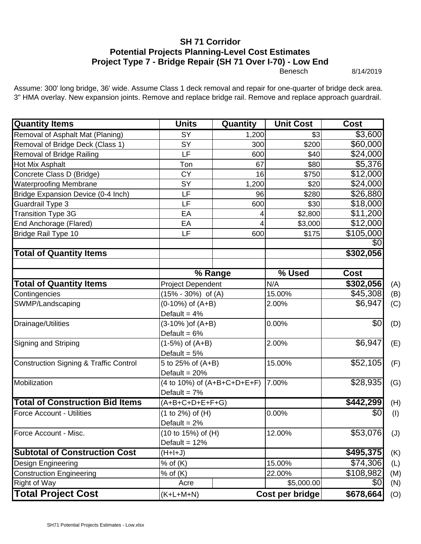#### **SH 71 Corridor Potential Projects Planning-Level Cost Estimates Project Type 7 - Bridge Repair (SH 71 Over I-70) - Low End**

Benesch 8/14/2019

Assume: 300' long bridge, 36' wide. Assume Class 1 deck removal and repair for one-quarter of bridge deck area. 3" HMA overlay. New expansion joints. Remove and replace bridge rail. Remove and replace approach guardrail.

| <b>Quantity Items</b>                             | <b>Units</b>             | Quantity                    | <b>Unit Cost</b> | <b>Cost</b>         |     |
|---------------------------------------------------|--------------------------|-----------------------------|------------------|---------------------|-----|
| Removal of Asphalt Mat (Planing)                  | <b>SY</b>                | 1,200                       | \$3              | \$3,600             |     |
| Removal of Bridge Deck (Class 1)                  | SY                       | 300                         | \$200            | \$60,000            |     |
| Removal of Bridge Railing                         | LF                       | 600                         | \$40             | \$24,000            |     |
| <b>Hot Mix Asphalt</b>                            | Ton                      | 67                          | \$80             | \$5,376             |     |
| Concrete Class D (Bridge)                         | <b>CY</b>                | 16                          | \$750            | \$12,000            |     |
| <b>Waterproofing Membrane</b>                     | SY                       | 1,200                       | \$20             | \$24,000            |     |
| Bridge Expansion Device (0-4 Inch)                | LF                       | 96                          | \$280            | \$26,880            |     |
| <b>Guardrail Type 3</b>                           | LF                       | 600                         | \$30             | \$18,000            |     |
| <b>Transition Type 3G</b>                         | EA                       | 4                           | \$2,800          | \$11,200            |     |
| End Anchorage (Flared)                            | EA                       | 4                           | \$3,000          | \$12,000            |     |
| Bridge Rail Type 10                               | LF                       | 600                         | \$175            | \$105,000           |     |
|                                                   |                          |                             |                  | \$0                 |     |
| <b>Total of Quantity Items</b>                    |                          |                             |                  | \$302,056           |     |
|                                                   |                          |                             |                  |                     |     |
|                                                   |                          | % Range                     | % Used           | <b>Cost</b>         |     |
| <b>Total of Quantity Items</b>                    | <b>Project Dependent</b> |                             | N/A              | \$302,056           | (A) |
| Contingencies                                     | $(15\% - 30\%)$ of (A)   |                             | 15.00%           | \$45,308            | (B) |
| SWMP/Landscaping                                  | (0-10%) of (A+B)         |                             | 2.00%            | $\overline{$}6,947$ | (C) |
|                                                   | Default = $4%$           |                             |                  |                     |     |
| Drainage/Utilities                                | $(3-10\% )$ of $(A+B)$   |                             | 0.00%            | \$0                 | (D) |
|                                                   | Default = $6%$           |                             |                  |                     |     |
| Signing and Striping                              | $(1-5%)$ of $(A+B)$      |                             | 2.00%            | \$6,947             | (E) |
|                                                   | Default = $5%$           |                             |                  |                     |     |
| <b>Construction Signing &amp; Traffic Control</b> | 5 to 25% of (A+B)        |                             | 15.00%           | \$52,105            | (F) |
|                                                   | Default = $20%$          |                             |                  |                     |     |
| Mobilization                                      |                          | (4 to 10%) of (A+B+C+D+E+F) | 7.00%            | \$28,935            | (G) |
|                                                   | Default = $7%$           |                             |                  |                     |     |
| <b>Total of Construction Bid Items</b>            | $(A+B+C+D+E+F+G)$        |                             |                  | \$442,299           | (H) |
| <b>Force Account - Utilities</b>                  | $(1 to 2%)$ of $(H)$     |                             | 0.00%            | \$0                 | (1) |
|                                                   | Default = $2%$           |                             |                  |                     |     |
| Force Account - Misc.                             | (10 to 15%) of (H)       |                             | 12.00%           | \$53,076            | (J) |
|                                                   | Default = $12%$          |                             |                  |                     |     |
| <b>Subtotal of Construction Cost</b>              | $(H+H)$                  |                             |                  | \$495,375           | (K) |
| <b>Design Engineering</b>                         | $%$ of $(K)$             |                             | 15.00%           | \$74,306            | (L) |
| <b>Construction Engineering</b>                   | $%$ of $(K)$             |                             | 22.00%           | \$108,982           | (M) |
| <b>Right of Way</b>                               | Acre                     |                             | \$5,000.00       | \$0                 | (N) |
| <b>Total Project Cost</b>                         | $(K+L+M+N)$              |                             | Cost per bridge  | \$678,664           | (O) |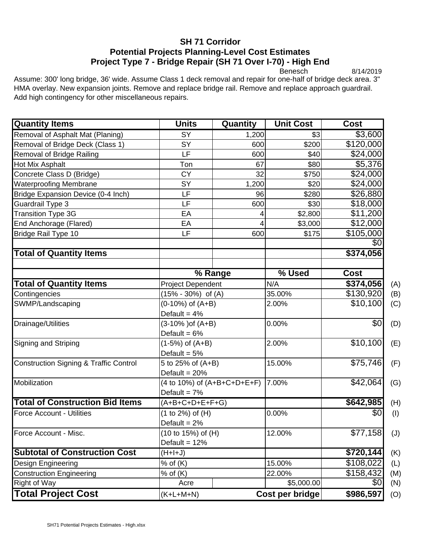#### **SH 71 Corridor Potential Projects Planning-Level Cost Estimates Project Type 7 - Bridge Repair (SH 71 Over I-70) - High End**

Benesch 8/14/2019

Assume: 300' long bridge, 36' wide. Assume Class 1 deck removal and repair for one-half of bridge deck area. 3" HMA overlay. New expansion joints. Remove and replace bridge rail. Remove and replace approach guardrail. Add high contingency for other miscellaneous repairs.

| <b>Quantity Items</b>                             | <b>Units</b>             | Quantity                    | <b>Unit Cost</b> | <b>Cost</b>      |
|---------------------------------------------------|--------------------------|-----------------------------|------------------|------------------|
| Removal of Asphalt Mat (Planing)                  | <b>SY</b>                | 1,200                       | \$3              | \$3,600          |
| Removal of Bridge Deck (Class 1)                  | SY                       | 600                         | \$200            | \$120,000        |
| Removal of Bridge Railing                         | LF                       | 600                         | \$40             | \$24,000         |
| <b>Hot Mix Asphalt</b>                            | Ton                      | 67                          | \$80             | \$5,376          |
| Concrete Class D (Bridge)                         | <b>CY</b>                | 32                          | \$750            | \$24,000         |
| <b>Waterproofing Membrane</b>                     | SY                       | 1,200                       | \$20             | \$24,000         |
| Bridge Expansion Device (0-4 Inch)                | LF                       | 96                          | \$280            | \$26,880         |
| <b>Guardrail Type 3</b>                           | LF                       | 600                         | \$30             | \$18,000         |
| <b>Transition Type 3G</b>                         | EA                       | 4                           | \$2,800          | \$11,200         |
| End Anchorage (Flared)                            | EA                       | 4                           | \$3,000          | \$12,000         |
| Bridge Rail Type 10                               | LF                       | 600                         | \$175            | \$105,000        |
|                                                   |                          |                             |                  | \$0              |
| <b>Total of Quantity Items</b>                    |                          |                             |                  | \$374,056        |
|                                                   |                          |                             |                  |                  |
|                                                   |                          | % Range                     | % Used           | <b>Cost</b>      |
| <b>Total of Quantity Items</b>                    | <b>Project Dependent</b> |                             | N/A              | \$374,056<br>(A) |
| Contingencies                                     | $(15\% - 30\%)$ of (A)   |                             | 35.00%           | \$130,920<br>(B) |
| SWMP/Landscaping                                  | (0-10%) of (A+B)         |                             | 2.00%            | \$10,100<br>(C)  |
|                                                   | Default = $4%$           |                             |                  |                  |
| Drainage/Utilities                                | $(3-10\% )$ of $(A+B)$   |                             | 0.00%            | \$0<br>(D)       |
|                                                   | Default = $6%$           |                             |                  |                  |
| Signing and Striping                              | $(1-5%)$ of $(A+B)$      |                             | 2.00%            | \$10,100<br>(E)  |
|                                                   | Default = $5%$           |                             |                  |                  |
| <b>Construction Signing &amp; Traffic Control</b> | 5 to 25% of (A+B)        |                             | 15.00%           | \$75,746<br>(F)  |
|                                                   | Default = $20%$          |                             |                  |                  |
| Mobilization                                      |                          | (4 to 10%) of (A+B+C+D+E+F) | 7.00%            | \$42,064<br>(G)  |
|                                                   | Default = $7%$           |                             |                  |                  |
| <b>Total of Construction Bid Items</b>            | $(A+B+C+D+E+F+G)$        |                             |                  | \$642,985<br>(H) |
| <b>Force Account - Utilities</b>                  | $(1 to 2%)$ of $(H)$     |                             | 0.00%            | \$0<br>(1)       |
|                                                   | Default = $2%$           |                             |                  |                  |
| Force Account - Misc.                             | (10 to 15%) of (H)       |                             | 12.00%           | \$77,158<br>(J)  |
|                                                   | Default = $12%$          |                             |                  |                  |
| <b>Subtotal of Construction Cost</b>              | $(H+H)$                  |                             |                  | \$720,144<br>(K) |
| <b>Design Engineering</b>                         | $%$ of $(K)$             |                             | 15.00%           | \$108,022<br>(L) |
| <b>Construction Engineering</b>                   | $%$ of $(K)$             |                             | 22.00%           | \$158,432<br>(M) |
| <b>Right of Way</b>                               | Acre                     |                             | \$5,000.00       | \$0<br>(N)       |
| <b>Total Project Cost</b>                         | $(K+L+M+N)$              |                             | Cost per bridge  | \$986,597<br>(0) |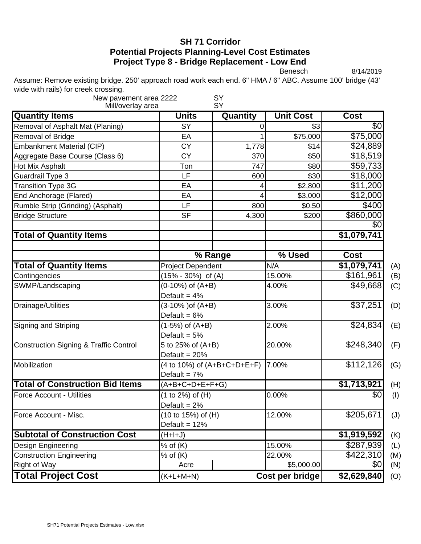#### **SH 71 Corridor Potential Projects Planning-Level Cost Estimates Project Type 8 - Bridge Replacement - Low End**

Benesch 8/14/2019

Assume: Remove existing bridge. 250' approach road work each end. 6" HMA / 6" ABC. Assume 100' bridge (43' wide with rails) for creek crossing.

| New pavement area 2222<br>Mill/overlay area       |                        | SY<br><b>SY</b>             |                  |             |
|---------------------------------------------------|------------------------|-----------------------------|------------------|-------------|
| <b>Quantity Items</b>                             | <b>Units</b>           | <b>Quantity</b>             | <b>Unit Cost</b> | <b>Cost</b> |
| Removal of Asphalt Mat (Planing)                  | SY                     | 0                           | \$3              | \$0         |
| Removal of Bridge                                 | EA                     |                             | \$75,000         | \$75,000    |
| <b>Embankment Material (CIP)</b>                  | <b>CY</b>              | 1,778                       | \$14             | \$24,889    |
| Aggregate Base Course (Class 6)                   | <b>CY</b>              | 370                         | \$50             | \$18,519    |
| Hot Mix Asphalt                                   | Ton                    | 747                         | \$80             | \$59,733    |
| <b>Guardrail Type 3</b>                           | <b>LF</b>              | 600                         | \$30             | \$18,000    |
| <b>Transition Type 3G</b>                         | EA                     |                             | \$2,800          | \$11,200    |
| End Anchorage (Flared)                            | EA                     | 4                           | \$3,000          | \$12,000    |
| Rumble Strip (Grinding) (Asphalt)                 | LF                     | 800                         | \$0.50           | \$400       |
| <b>Bridge Structure</b>                           | <b>SF</b>              | 4,300                       | \$200            | \$860,000   |
|                                                   |                        |                             |                  | \$0         |
| <b>Total of Quantity Items</b>                    |                        |                             |                  | \$1,079,741 |
|                                                   |                        |                             |                  |             |
|                                                   |                        | % Range                     | % Used           | <b>Cost</b> |
| <b>Total of Quantity Items</b>                    | Project Dependent      |                             | N/A              | \$1,079,741 |
| Contingencies                                     | $(15\% - 30\%)$ of (A) |                             | 15.00%           | \$161,961   |
| SWMP/Landscaping                                  | $(0-10\%)$ of $(A+B)$  |                             | 4.00%            | \$49,668    |
|                                                   | Default = $4%$         |                             |                  |             |
| Drainage/Utilities                                | $(3-10\% )$ of $(A+B)$ |                             | 3.00%            | \$37,251    |
|                                                   | Default = $6%$         |                             |                  |             |
| Signing and Striping                              | $(1-5%)$ of $(A+B)$    |                             | 2.00%            | \$24,834    |
|                                                   | Default = $5%$         |                             |                  |             |
| <b>Construction Signing &amp; Traffic Control</b> | 5 to 25% of (A+B)      |                             | 20.00%           | \$248,340   |
|                                                   | Default = $20%$        |                             |                  |             |
| Mobilization                                      |                        | (4 to 10%) of (A+B+C+D+E+F) | 7.00%            | \$112,126   |
|                                                   |                        | Default = $7%$              |                  |             |
| <b>Total of Construction Bid Items</b>            | $(A+B+C+D+E+F+G)$      |                             |                  | \$1,713,921 |
| <b>Force Account - Utilities</b>                  | $(1 to 2%)$ of $(H)$   |                             | 0.00%            | \$0         |
|                                                   | Default = $2%$         |                             |                  |             |
| Force Account - Misc.                             | (10 to 15%) of (H)     |                             | 12.00%           | \$205,671   |
|                                                   | Default = $12%$        |                             |                  |             |
| <b>Subtotal of Construction Cost</b>              | $(H+H)$                |                             |                  | \$1,919,592 |
| Design Engineering                                | $%$ of $(K)$           |                             | 15.00%           | \$287,939   |
| <b>Construction Engineering</b>                   | $%$ of $(K)$           |                             | 22.00%           | \$422,310   |
| <b>Right of Way</b>                               | Acre                   |                             | \$5,000.00       | \$0         |
| <b>Total Project Cost</b>                         | $(K+L+M+N)$            |                             | Cost per bridge  | \$2,629,840 |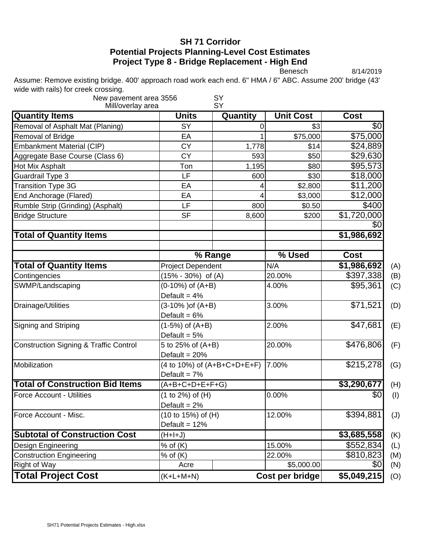#### **SH 71 Corridor Potential Projects Planning-Level Cost Estimates Project Type 8 - Bridge Replacement - High End**

Benesch 8/14/2019

Assume: Remove existing bridge. 400' approach road work each end. 6" HMA / 6" ABC. Assume 200' bridge (43' wide with rails) for creek crossing.

| New pavement area 3556<br>Mill/overlay area       |                          | SY<br>SY                    |                  |                         |
|---------------------------------------------------|--------------------------|-----------------------------|------------------|-------------------------|
| <b>Quantity Items</b>                             | <b>Units</b>             | Quantity                    | <b>Unit Cost</b> | <b>Cost</b>             |
| Removal of Asphalt Mat (Planing)                  | SY                       | 0                           | \$3              | \$0                     |
| Removal of Bridge                                 | EA                       | 1                           | \$75,000         | \$75,000                |
| Embankment Material (CIP)                         | <b>CY</b>                | 1,778                       | \$14             | \$24,889                |
| Aggregate Base Course (Class 6)                   | <b>CY</b>                | 593                         | \$50             | \$29,630                |
| Hot Mix Asphalt                                   | Ton                      | 1,195                       | \$80             | \$95,573                |
| <b>Guardrail Type 3</b>                           | LF                       | 600                         | \$30             | \$18,000                |
| <b>Transition Type 3G</b>                         | EA                       | 4                           | \$2,800          | \$11,200                |
| End Anchorage (Flared)                            | EA                       | 4                           | \$3,000          | \$12,000                |
| Rumble Strip (Grinding) (Asphalt)                 | LF                       | 800                         | \$0.50           | \$400                   |
| <b>Bridge Structure</b>                           | <b>SF</b>                | 8,600                       | \$200            | $\overline{$}1,720,000$ |
|                                                   |                          |                             |                  | \$0                     |
| <b>Total of Quantity Items</b>                    |                          |                             |                  | \$1,986,692             |
|                                                   |                          |                             |                  |                         |
|                                                   |                          | % Range                     | % Used           | <b>Cost</b>             |
| <b>Total of Quantity Items</b>                    | <b>Project Dependent</b> |                             | N/A              | \$1,986,692             |
| Contingencies                                     | $(15\% - 30\%)$ of (A)   |                             | 20.00%           | \$397,338               |
| SWMP/Landscaping                                  | (0-10%) of (A+B)         |                             | 4.00%            | \$95,361                |
|                                                   | Default = $4%$           |                             |                  |                         |
| Drainage/Utilities                                | $(3-10\% )$ of $(A+B)$   |                             | 3.00%            | \$71,521                |
|                                                   | Default = $6\%$          |                             |                  |                         |
| Signing and Striping                              | $(1-5%)$ of $(A+B)$      |                             | 2.00%            | \$47,681                |
|                                                   | Default = $5%$           |                             |                  |                         |
| <b>Construction Signing &amp; Traffic Control</b> | 5 to 25% of (A+B)        |                             | 20.00%           | \$476,806               |
|                                                   | Default = $20%$          |                             |                  |                         |
| Mobilization                                      |                          | (4 to 10%) of (A+B+C+D+E+F) | 7.00%            | \$215,278               |
|                                                   |                          | Default = $7%$              |                  |                         |
| <b>Total of Construction Bid Items</b>            | $(A+B+C+D+E+F+G)$        |                             |                  | $\overline{$3,29}0,677$ |
| <b>Force Account - Utilities</b>                  | $(1 to 2%)$ of $(H)$     |                             | 0.00%            | \$0                     |
|                                                   | Default = $2%$           |                             |                  |                         |
| Force Account - Misc.                             | (10 to 15%) of (H)       |                             | 12.00%           | \$394,881               |
|                                                   | Default = $12%$          |                             |                  |                         |
| <b>Subtotal of Construction Cost</b>              | $(H+H)$                  |                             |                  | \$3,685,558             |
| <b>Design Engineering</b>                         | $%$ of $(K)$             |                             | 15.00%           | \$552,834               |
| <b>Construction Engineering</b>                   | $%$ of $(K)$             |                             | 22.00%           | \$810,823               |
| <b>Right of Way</b>                               | Acre                     |                             | \$5,000.00       | \$0                     |
| <b>Total Project Cost</b>                         | $(K+L+M+N)$              |                             | Cost per bridge  | \$5,049,215             |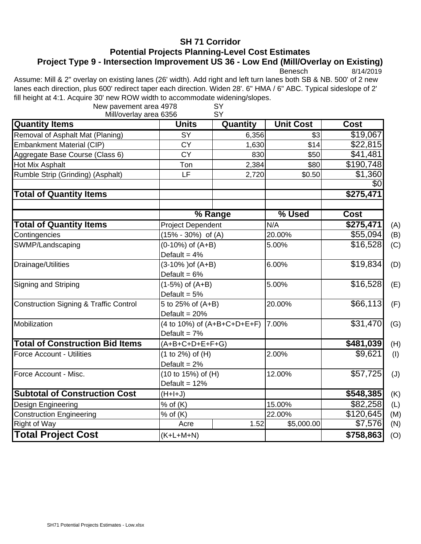#### **SH 71 Corridor Potential Projects Planning-Level Cost Estimates Project Type 9 - Intersection Improvement US 36 - Low End (Mill/Overlay on Existing)**

Benesch 8/14/2019

Assume: Mill & 2" overlay on existing lanes (26' width). Add right and left turn lanes both SB & NB. 500' of 2 new lanes each direction, plus 600' redirect taper each direction. Widen 28'. 6" HMA / 6" ABC. Typical sideslope of 2' fill height at 4:1. Acquire 30' new ROW width to accommodate widening/slopes.

| New pavement area 4978<br>Mill/overlay area 6356  |                          | SY<br><b>SY</b>             |                  |             |     |
|---------------------------------------------------|--------------------------|-----------------------------|------------------|-------------|-----|
| <b>Quantity Items</b>                             | <b>Units</b>             | Quantity                    | <b>Unit Cost</b> | <b>Cost</b> |     |
| Removal of Asphalt Mat (Planing)                  | SY                       | 6,356                       | \$3              | \$19,067    |     |
| <b>Embankment Material (CIP)</b>                  | <b>CY</b>                | 1,630                       | \$14             | \$22,815    |     |
| Aggregate Base Course (Class 6)                   | <b>CY</b>                | 830                         | \$50             | \$41,481    |     |
| <b>Hot Mix Asphalt</b>                            | Ton                      | 2,384                       | \$80             | \$190,748   |     |
| Rumble Strip (Grinding) (Asphalt)                 | LF                       | 2,720                       | \$0.50           | \$1,360     |     |
|                                                   |                          |                             |                  | \$0         |     |
| <b>Total of Quantity Items</b>                    |                          |                             |                  | \$275,471   |     |
|                                                   |                          | % Range                     | % Used           | <b>Cost</b> |     |
| <b>Total of Quantity Items</b>                    | <b>Project Dependent</b> |                             | N/A              | \$275,471   | (A) |
| Contingencies                                     | $(15\% - 30\%)$ of (A)   |                             | 20.00%           | \$55,094    | (B) |
| SWMP/Landscaping                                  | $(0-10\%)$ of $(A+B)$    |                             | 5.00%            | \$16,528    | (C) |
|                                                   | Default = $4\%$          |                             |                  |             |     |
| Drainage/Utilities                                | $(3-10\% )$ of $(A+B)$   |                             | 6.00%            | \$19,834    | (D) |
|                                                   | Default = $6%$           |                             |                  |             |     |
| Signing and Striping                              | $(1-5%)$ of $(A+B)$      |                             | 5.00%            | \$16,528    | (E) |
|                                                   | Default = $5%$           |                             |                  |             |     |
| <b>Construction Signing &amp; Traffic Control</b> | 5 to 25% of (A+B)        |                             | 20.00%           | \$66,113    | (F) |
|                                                   | Default = $20%$          |                             |                  |             |     |
| Mobilization                                      |                          | (4 to 10%) of (A+B+C+D+E+F) | 7.00%            | \$31,470    | (G) |
|                                                   | Default = $7%$           |                             |                  |             |     |
| <b>Total of Construction Bid Items</b>            | (A+B+C+D+E+F+G)          |                             |                  | \$481,039   | (H) |
| <b>Force Account - Utilities</b>                  | $(1 to 2%)$ of $(H)$     |                             | 2.00%            | \$9,621     | (I) |
|                                                   | Default = $2%$           |                             |                  |             |     |
| Force Account - Misc.                             | (10 to 15%) of (H)       |                             | 12.00%           | \$57,725    | (J) |
|                                                   | Default = $12%$          |                             |                  |             |     |
| <b>Subtotal of Construction Cost</b>              | $(H+H)$                  |                             |                  | \$548,385   | (K) |
| <b>Design Engineering</b>                         | $%$ of $(K)$             |                             | 15.00%           | \$82,258    | (L) |
| <b>Construction Engineering</b>                   | $%$ of $(K)$             |                             | 22.00%           | \$120,645   | (M) |
| Right of Way                                      | Acre                     | 1.52                        | \$5,000.00       | \$7,576     | (N) |
| <b>Total Project Cost</b>                         | $(K+L+M+N)$              |                             |                  | \$758,863   | (O) |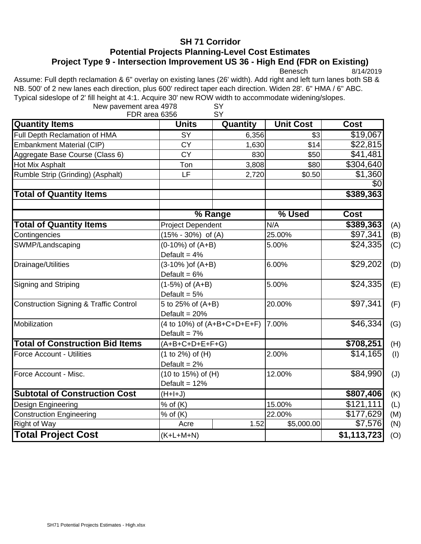#### **SH 71 Corridor Potential Projects Planning-Level Cost Estimates Project Type 9 - Intersection Improvement US 36 - High End (FDR on Existing)**

Benesch 8/14/2019

Assume: Full depth reclamation & 6" overlay on existing lanes (26' width). Add right and left turn lanes both SB & NB. 500' of 2 new lanes each direction, plus 600' redirect taper each direction. Widen 28'. 6" HMA / 6" ABC. Typical sideslope of 2' fill height at 4:1. Acquire 30' new ROW width to accommodate widening/slopes.

| New pavement area 4978                            | FDR area 6356            | SY<br>SY                    |                  |                   |     |
|---------------------------------------------------|--------------------------|-----------------------------|------------------|-------------------|-----|
| <b>Quantity Items</b>                             | <b>Units</b>             | Quantity                    | <b>Unit Cost</b> | <b>Cost</b>       |     |
| Full Depth Reclamation of HMA                     | SY                       | 6,356                       | \$3              | \$19,067          |     |
| <b>Embankment Material (CIP)</b>                  | <b>CY</b>                | 1,630                       | \$14             | \$22,815          |     |
| Aggregate Base Course (Class 6)                   | <b>CY</b>                | 830                         | \$50             | \$41,481          |     |
| <b>Hot Mix Asphalt</b>                            | Ton                      | 3,808                       | \$80             | \$304,640         |     |
| Rumble Strip (Grinding) (Asphalt)                 | <b>LF</b>                | 2,720                       | \$0.50           | \$1,360           |     |
|                                                   |                          |                             |                  | \$0               |     |
| <b>Total of Quantity Items</b>                    |                          |                             |                  | \$389,363         |     |
|                                                   |                          | % Range                     | % Used           | <b>Cost</b>       |     |
| <b>Total of Quantity Items</b>                    | <b>Project Dependent</b> |                             | N/A              | \$389,363         | (A) |
| Contingencies                                     | $(15\% - 30\%)$ of (A)   |                             | 25.00%           | \$97,341          | (B) |
| SWMP/Landscaping                                  | $(0-10\%)$ of $(A+B)$    |                             | 5.00%            | \$24,335          | (C) |
|                                                   | Default = $4%$           |                             |                  |                   |     |
| Drainage/Utilities                                | $(3-10\% )$ of $(A+B)$   |                             | 6.00%            | \$29,202          | (D) |
|                                                   | Default = $6\%$          |                             |                  |                   |     |
| Signing and Striping                              | $(1-5%)$ of $(A+B)$      |                             | 5.00%            | \$24,335          | (E) |
|                                                   | Default = $5%$           |                             |                  |                   |     |
| <b>Construction Signing &amp; Traffic Control</b> | 5 to 25% of (A+B)        |                             | 20.00%           | \$97,341          | (F) |
|                                                   | Default = $20%$          |                             |                  |                   |     |
| Mobilization                                      |                          | (4 to 10%) of (A+B+C+D+E+F) | 7.00%            | \$46,334          | (G) |
|                                                   | Default = $7%$           |                             |                  |                   |     |
| <b>Total of Construction Bid Items</b>            | $(A+B+C+D+E+F+G)$        |                             |                  | \$708,251         | (H) |
| <b>Force Account - Utilities</b>                  | $(1 to 2%)$ of $(H)$     |                             | 2.00%            | \$14,165          | (I) |
|                                                   | Default = $2%$           |                             |                  |                   |     |
| Force Account - Misc.                             | (10 to 15%) of (H)       |                             | 12.00%           | \$84,990          | (J) |
|                                                   | Default = $12%$          |                             |                  |                   |     |
| <b>Subtotal of Construction Cost</b>              | $(H+H)$                  |                             |                  | \$807,406         | (K) |
| <b>Design Engineering</b>                         | $%$ of $(K)$             |                             | 15.00%           | $\sqrt{3121,111}$ | (L) |
| <b>Construction Engineering</b>                   | $%$ of $(K)$             |                             | 22.00%           | \$177,629         | (M) |
| <b>Right of Way</b>                               | Acre                     | 1.52                        | \$5,000.00       | \$7,576           | (N) |
| <b>Total Project Cost</b>                         | $(K+L+M+N)$              |                             |                  | \$1,113,723       | (O) |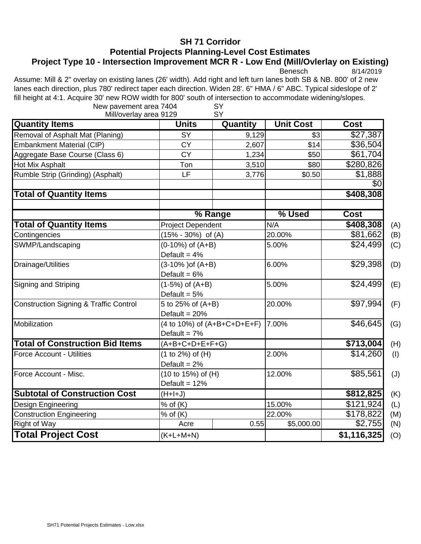#### **SH 71 Corridor Potential Projects Planning-Level Cost Estimates Project Type 10 - Intersection Improvement MCR R - Low End (Mill/Ovlerlay on Existing)**

Benesch 8/14/2019

 $m \cdot n$  area 7404  $\sim$ Assume: Mill & 2" overlay on existing lanes (26' width). Add right and left turn lanes both SB & NB. 800' of 2 new lanes each direction, plus 780' redirect taper each direction. Widen 28'. 6" HMA / 6" ABC. Typical sideslope of 2' fill height at 4:1. Acquire 30' new ROW width for 800' south of intersection to accommodate widening/slopes.

| Mill/overlay area 9129<br><b>Quantity Items</b>   | <b>Units</b>                    | <b>SY</b><br>Quantity | <b>Unit Cost</b> | <b>Cost</b> |     |
|---------------------------------------------------|---------------------------------|-----------------------|------------------|-------------|-----|
| Removal of Asphalt Mat (Planing)                  | <b>SY</b>                       | 9,129                 | \$3              | \$27,387    |     |
| <b>Embankment Material (CIP)</b>                  | <b>CY</b>                       | 2,607                 | \$14             | \$36,504    |     |
| Aggregate Base Course (Class 6)                   | <b>CY</b>                       | 1,234                 | \$50             | \$61,704    |     |
| Hot Mix Asphalt                                   | Ton                             | 3,510                 | \$80             | \$280,826   |     |
|                                                   | LF                              |                       |                  | \$1,888     |     |
| Rumble Strip (Grinding) (Asphalt)                 |                                 | 3,776                 | \$0.50           | \$0         |     |
| <b>Total of Quantity Items</b>                    |                                 |                       |                  | \$408,308   |     |
|                                                   |                                 |                       |                  |             |     |
|                                                   |                                 | % Range               | % Used           | <b>Cost</b> |     |
| <b>Total of Quantity Items</b>                    | <b>Project Dependent</b>        |                       | N/A              | \$408,308   | (A) |
| Contingencies                                     | $(15\% - 30\%)$ of $(A)$        |                       | 20.00%           | \$81,662    | (B) |
| SWMP/Landscaping                                  |                                 | $(0-10\%)$ of $(A+B)$ |                  | \$24,499    | (C) |
|                                                   | Default = $4%$                  |                       |                  |             |     |
| Drainage/Utilities                                | $(3-10\%)$ of $(A+B)$           |                       | 6.00%            | \$29,398    | (D) |
|                                                   | Default = $6%$                  |                       |                  |             |     |
| Signing and Striping                              |                                 | $(1-5%)$ of $(A+B)$   |                  | \$24,499    | (E) |
|                                                   | Default = $5%$                  |                       |                  |             |     |
| <b>Construction Signing &amp; Traffic Control</b> | 5 to 25% of (A+B)               |                       | 20.00%           | \$97,994    | (F) |
|                                                   | Default = $20%$                 |                       |                  |             |     |
| Mobilization                                      | $(4 to 10%)$ of $(A+B+C+D+E+F)$ |                       | 7.00%            | \$46,645    | (G) |
|                                                   | Default = $7%$                  |                       |                  |             |     |
| <b>Total of Construction Bid Items</b>            | (A+B+C+D+E+F+G)                 |                       |                  | \$713,004   | (H) |
| <b>Force Account - Utilities</b>                  | $(1 to 2\%)$ of $(H)$           |                       | 2.00%            | \$14,260    | (I) |
|                                                   | Default = $2%$                  |                       |                  |             |     |
| Force Account - Misc.                             | (10 to 15%) of (H)              |                       | 12.00%           | \$85,561    | (J) |
|                                                   | Default = $12%$                 |                       |                  |             |     |
| <b>Subtotal of Construction Cost</b>              | $(H+H)$                         |                       |                  | \$812,825   | (K) |
| Design Engineering                                | $%$ of $(K)$                    |                       | 15.00%           | \$121,924   | (L) |
| <b>Construction Engineering</b>                   | $%$ of $(K)$                    |                       | 22.00%           | \$178,822   | (M) |
| <b>Right of Way</b>                               | Acre                            | 0.55                  | \$5,000.00       | \$2,755     | (N) |
| <b>Total Project Cost</b>                         | $(K+L+M+N)$                     |                       |                  | \$1,116,325 | (O) |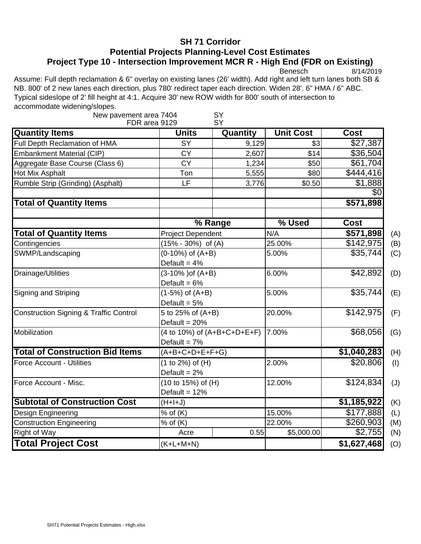#### **SH 71 Corridor Potential Projects Planning-Level Cost Estimates Project Type 10 - Intersection Improvement MCR R - High End (FDR on Existing)**

Benesch 8/14/2019

Assume: Full depth reclamation & 6" overlay on existing lanes (26' width). Add right and left turn lanes both SB & NB. 800' of 2 new lanes each direction, plus 780' redirect taper each direction. Widen 28'. 6" HMA / 6" ABC. Typical sideslope of 2' fill height at 4:1. Acquire 30' new ROW width for 800' south of intersection to accommodate widening/slopes.

| New pavement area 7404                            | FDR area 9129            | SY<br>SY                        |                  |                       |     |
|---------------------------------------------------|--------------------------|---------------------------------|------------------|-----------------------|-----|
| <b>Quantity Items</b>                             | <b>Units</b>             | Quantity                        | <b>Unit Cost</b> | <b>Cost</b>           |     |
| Full Depth Reclamation of HMA                     | <b>SY</b>                | 9,129                           | \$3              | $\overline{$}27,387$  |     |
| <b>Embankment Material (CIP)</b>                  | <b>CY</b>                | 2,607                           | \$14             | \$36,504              |     |
| Aggregate Base Course (Class 6)                   | <b>CY</b>                | 1,234                           | \$50             | \$61,704              |     |
| Hot Mix Asphalt                                   | Ton                      | 5,555                           | \$80             | \$444,416             |     |
| Rumble Strip (Grinding) (Asphalt)                 | LF                       | 3,776                           | \$0.50           | \$1,888               |     |
|                                                   |                          |                                 |                  | $\overline{50}$       |     |
| <b>Total of Quantity Items</b>                    |                          |                                 |                  | \$571,898             |     |
|                                                   |                          | % Range                         | % Used           | <b>Cost</b>           |     |
| <b>Total of Quantity Items</b>                    | <b>Project Dependent</b> |                                 | N/A              | \$571,898             | (A) |
| Contingencies                                     | $(15\% - 30\%)$ of (A)   |                                 | 25.00%           | \$142,975             | (B) |
| SWMP/Landscaping                                  |                          | $(0-10\%)$ of $(A+B)$           |                  | \$35,744              | (C) |
|                                                   | Default = $4\%$          |                                 |                  |                       |     |
| Drainage/Utilities                                | $(3-10\% )$ of $(A+B)$   |                                 | 6.00%            | \$42,892              | (D) |
|                                                   | Default = $6%$           |                                 |                  |                       |     |
| Signing and Striping                              | $(1-5%)$ of $(A+B)$      |                                 | 5.00%            | \$35,744              | (E) |
|                                                   | Default = $5%$           |                                 |                  |                       |     |
| <b>Construction Signing &amp; Traffic Control</b> |                          | 5 to 25% of (A+B)               |                  | \$142,975             | (F) |
|                                                   | Default = $20%$          |                                 |                  |                       |     |
| Mobilization                                      |                          | $(4 to 10%)$ of $(A+B+C+D+E+F)$ | 7.00%            | \$68,056              | (G) |
|                                                   |                          | Default = $7%$                  |                  |                       |     |
| <b>Total of Construction Bid Items</b>            | $(A+B+C+D+E+F+G)$        |                                 |                  | \$1,040,283           | (H) |
| <b>Force Account - Utilities</b>                  | $(1 to 2%)$ of $(H)$     |                                 | 2.00%            | \$20,806              | (I) |
|                                                   | Default = $2%$           |                                 |                  |                       |     |
| Force Account - Misc.                             | (10 to 15%) of (H)       |                                 | 12.00%           | $\overline{$}124,834$ | (J) |
|                                                   | Default = $12%$          |                                 |                  |                       |     |
| <b>Subtotal of Construction Cost</b>              | $(H+H)$                  |                                 |                  | \$1,185,922           | (K) |
| Design Engineering                                | $%$ of $(K)$             |                                 | 15.00%           | \$177,888             | (L) |
| <b>Construction Engineering</b>                   | $%$ of $(K)$             |                                 | 22.00%           | \$260,903             | (M) |
| <b>Right of Way</b>                               | Acre                     | 0.55                            | \$5,000.00       | \$2,755               | (N) |
| <b>Total Project Cost</b>                         | $(K+L+M+N)$              |                                 |                  | \$1,627,468           | (O) |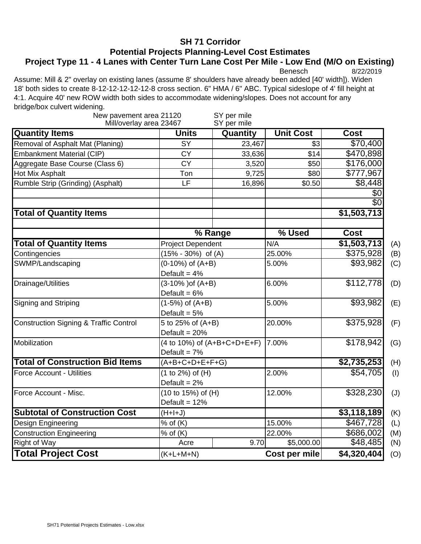#### **SH 71 Corridor Potential Projects Planning-Level Cost Estimates Project Type 11 - 4 Lanes with Center Turn Lane Cost Per Mile - Low End (M/O on Existing)**

Benesch 8/22/2019

Assume: Mill & 2" overlay on existing lanes (assume 8' shoulders have already been added [40' width]). Widen 18' both sides to create 8-12-12-12-12-12-8 cross section. 6" HMA / 6" ABC. Typical sideslope of 4' fill height at 4:1. Acquire 40' new ROW width both sides to accommodate widening/slopes. Does not account for any bridge/box culvert widening.

| New pavement area 21120<br>Mill/overlay area 23467 |                        | SY per mile<br>SY per mile      |                  |                        |     |
|----------------------------------------------------|------------------------|---------------------------------|------------------|------------------------|-----|
| <b>Quantity Items</b>                              | <b>Units</b>           | Quantity                        | <b>Unit Cost</b> | <b>Cost</b>            |     |
| Removal of Asphalt Mat (Planing)                   | <b>SY</b>              | 23,467                          | \$3              | $\overline{$}70,400$   |     |
| <b>Embankment Material (CIP)</b>                   | <b>CY</b>              | 33,636                          | \$14             | \$470,898              |     |
| Aggregate Base Course (Class 6)                    | <b>CY</b>              | 3,520                           | \$50             | \$176,000              |     |
| Hot Mix Asphalt                                    | Ton                    | 9,725                           | \$80             | \$777,967              |     |
| Rumble Strip (Grinding) (Asphalt)                  | LF                     | 16,896                          | \$0.50           | \$8,448                |     |
|                                                    |                        |                                 |                  | \$0                    |     |
|                                                    |                        |                                 |                  | $\overline{30}$        |     |
| <b>Total of Quantity Items</b>                     |                        |                                 |                  | \$1,503,713            |     |
|                                                    |                        | % Range                         | % Used           | <b>Cost</b>            |     |
| <b>Total of Quantity Items</b>                     |                        | N/A<br><b>Project Dependent</b> |                  | $\overline{1,503,713}$ | (A) |
| Contingencies                                      | $(15\% - 30\%)$ of (A) |                                 | 25.00%           | \$375,928              | (B) |
| SWMP/Landscaping                                   | $(0-10\%)$ of $(A+B)$  |                                 | 5.00%            | \$93,982               | (C) |
|                                                    | Default = 4%           |                                 |                  |                        |     |
| Drainage/Utilities                                 | $(3-10\% )$ of $(A+B)$ |                                 | 6.00%            | \$112,778              | (D) |
|                                                    | Default = $6%$         |                                 |                  |                        |     |
| Signing and Striping                               |                        | $(1-5%)$ of $(A+B)$             |                  | \$93,982               | (E) |
|                                                    | Default = $5%$         |                                 |                  |                        |     |
| <b>Construction Signing &amp; Traffic Control</b>  | 5 to 25% of (A+B)      |                                 | 20.00%           | \$375,928              | (F) |
|                                                    | Default = $20%$        |                                 |                  |                        |     |
| Mobilization                                       |                        | (4 to 10%) of (A+B+C+D+E+F)     | 7.00%            | \$178,942              | (G) |
|                                                    |                        | Default = $7%$                  |                  |                        |     |
| <b>Total of Construction Bid Items</b>             | (A+B+C+D+E+F+G)        |                                 |                  | \$2,735,253            | (H) |
| <b>Force Account - Utilities</b>                   | $(1 to 2\%)$ of $(H)$  |                                 | 2.00%            | \$54,705               | (1) |
|                                                    | Default = $2%$         |                                 |                  |                        |     |
| Force Account - Misc.                              | (10 to 15%) of (H)     |                                 | 12.00%           | $\sqrt{3}$ 328,230     | (J) |
|                                                    | Default = $12%$        |                                 |                  |                        |     |
| <b>Subtotal of Construction Cost</b>               | $(H+I+J)$              |                                 |                  | \$3,118,189            | (K) |
| Design Engineering                                 | $%$ of $(K)$           |                                 | 15.00%           | \$467,728              | (L) |
| <b>Construction Engineering</b>                    | $%$ of $(K)$           |                                 | 22.00%           | \$686,002              | (M) |
| Right of Way                                       | Acre                   | 9.70                            | \$5,000.00       | \$48,485               | (N) |
| <b>Total Project Cost</b>                          | $(K+L+M+N)$            |                                 | Cost per mile    | \$4,320,404            | (O) |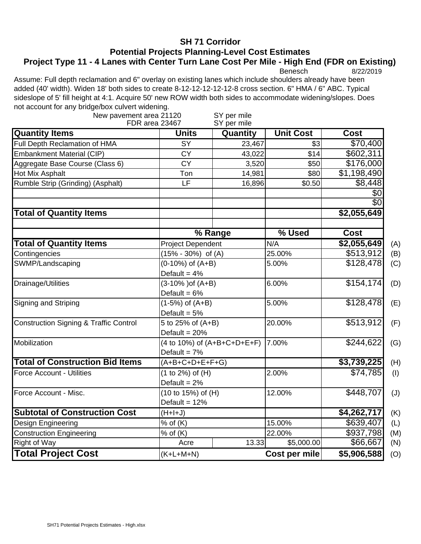#### **SH 71 Corridor Potential Projects Planning-Level Cost Estimates Project Type 11 - 4 Lanes with Center Turn Lane Cost Per Mile - High End (FDR on Existing)**

Benesch 8/22/2019

Assume: Full depth reclamation and 6" overlay on existing lanes which include shoulders already have been added (40' width). Widen 18' both sides to create 8-12-12-12-12-12-8 cross section. 6" HMA / 6" ABC. Typical sideslope of 5' fill height at 4:1. Acquire 50' new ROW width both sides to accommodate widening/slopes. Does not account for any bridge/box culvert widening.

| New pavement area 21120                           | <b>FDR</b> area 23467    | SY per mile<br>SY per mile      |                  |                          |     |
|---------------------------------------------------|--------------------------|---------------------------------|------------------|--------------------------|-----|
| <b>Quantity Items</b>                             | <b>Units</b>             | Quantity                        | <b>Unit Cost</b> | <b>Cost</b>              |     |
| Full Depth Reclamation of HMA                     | SY                       | 23,467                          | \$3              | \$70,400                 |     |
| <b>Embankment Material (CIP)</b>                  | <b>CY</b>                | 43,022                          | \$14             | \$602,311                |     |
| Aggregate Base Course (Class 6)                   | <b>CY</b>                | 3,520                           | \$50             | \$176,000                |     |
| Hot Mix Asphalt                                   | Ton                      | 14,981                          | \$80             | \$1,198,490              |     |
| Rumble Strip (Grinding) (Asphalt)                 | <b>LF</b>                | 16,896                          | \$0.50           | \$8,448                  |     |
|                                                   |                          |                                 |                  | \$0                      |     |
|                                                   |                          |                                 |                  | $\overline{50}$          |     |
| <b>Total of Quantity Items</b>                    |                          |                                 |                  | \$2,055,649              |     |
|                                                   |                          | $\overline{\%}$ Range           | % Used           | <b>Cost</b>              |     |
| <b>Total of Quantity Items</b>                    | <b>Project Dependent</b> |                                 | N/A              | \$2,055,649              | (A) |
| Contingencies                                     | $(15\% - 30\%)$ of (A)   |                                 | 25.00%           | \$513,912                | (B) |
| SWMP/Landscaping                                  | $(0-10\%)$ of $(A+B)$    |                                 | 5.00%            | \$128,478                | (C) |
|                                                   | Default = $4%$           |                                 |                  |                          |     |
| Drainage/Utilities                                | $(3-10\%)$ of $(A+B)$    |                                 | 6.00%            | \$154,174                | (D) |
|                                                   | Default = $6%$           |                                 |                  |                          |     |
| Signing and Striping                              |                          | $(1-5%)$ of $(A+B)$             |                  | \$128,478                | (E) |
|                                                   | Default = $5%$           |                                 |                  |                          |     |
| <b>Construction Signing &amp; Traffic Control</b> | 5 to 25% of (A+B)        |                                 | 20.00%           | \$513,912                | (F) |
|                                                   | Default = $20%$          |                                 |                  |                          |     |
| Mobilization                                      |                          | $(4 to 10%)$ of $(A+B+C+D+E+F)$ | 7.00%            | \$244,622                | (G) |
|                                                   | Default = $7%$           |                                 |                  |                          |     |
| <b>Total of Construction Bid Items</b>            | (A+B+C+D+E+F+G)          |                                 |                  | $\overline{\$3,739,225}$ | (H) |
| <b>Force Account - Utilities</b>                  | $(1 to 2\%)$ of $(H)$    |                                 | 2.00%            | \$74,785                 | (1) |
|                                                   | Default = $2%$           |                                 |                  |                          |     |
| Force Account - Misc.                             | (10 to 15%) of (H)       |                                 | 12.00%           | \$448,707                | (J) |
|                                                   | Default = 12%            |                                 |                  |                          |     |
| <b>Subtotal of Construction Cost</b>              | $(H+H+)$                 |                                 |                  | \$4,262,717              | (K) |
| Design Engineering                                | $%$ of $(K)$             |                                 | 15.00%           | \$639,407                | (L) |
| <b>Construction Engineering</b>                   | $%$ of $(K)$             |                                 | 22.00%           | \$937,798                | (M) |
| Right of Way                                      | Acre                     | 13.33                           | \$5,000.00       | \$66,667                 | (N) |
| <b>Total Project Cost</b>                         | $(K+L+M+N)$              |                                 | Cost per mile    | \$5,906,588              | (O) |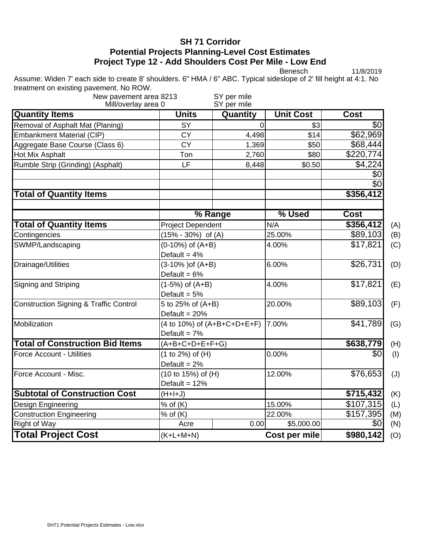#### **SH 71 Corridor Potential Projects Planning-Level Cost Estimates Project Type 12 - Add Shoulders Cost Per Mile - Low End**

Benesch 11/8/2019

Assume: Widen 7' each side to create 8' shoulders. 6" HMA / 6" ABC. Typical sideslope of 2' fill height at 4:1. No treatment on existing pavement. No ROW.

| abaanont on oxidang pavolitont. No KOV<br>New pavement area 8213<br>Mill/overlay area 0 |                                 | SY per mile<br>SY per mile |                  |                       |
|-----------------------------------------------------------------------------------------|---------------------------------|----------------------------|------------------|-----------------------|
| <b>Quantity Items</b>                                                                   | <b>Units</b>                    | Quantity                   | <b>Unit Cost</b> | <b>Cost</b>           |
| Removal of Asphalt Mat (Planing)                                                        | SY                              | $\Omega$                   | \$3              | \$0                   |
| Embankment Material (CIP)                                                               | <b>CY</b>                       | 4,498                      | \$14             | \$62,969              |
| Aggregate Base Course (Class 6)                                                         | <b>CY</b>                       | 1,369                      | \$50             | \$68,444              |
| <b>Hot Mix Asphalt</b>                                                                  | Ton                             | 2,760                      | \$80             | \$220,774             |
| Rumble Strip (Grinding) (Asphalt)                                                       | LF                              | 8,448                      | \$0.50           | \$4,224               |
|                                                                                         |                                 |                            |                  | \$0                   |
|                                                                                         |                                 |                            |                  | $\overline{50}$       |
| <b>Total of Quantity Items</b>                                                          |                                 |                            |                  | \$356,412             |
|                                                                                         | % Range                         |                            | % Used           | <b>Cost</b>           |
| <b>Total of Quantity Items</b>                                                          |                                 | <b>Project Dependent</b>   |                  | \$356,412             |
| Contingencies                                                                           | $(15\% - 30\%)$ of (A)          |                            | 25.00%           | \$89,103              |
| SWMP/Landscaping                                                                        | $(0-10\%)$ of $(A+B)$           |                            | 4.00%            | \$17,821              |
|                                                                                         | Default = $4%$                  |                            |                  |                       |
| Drainage/Utilities                                                                      | $(3-10\% )$ of $(A+B)$          |                            | 6.00%            | \$26,731              |
|                                                                                         | Default = $6\%$                 |                            |                  |                       |
| Signing and Striping                                                                    | $(1-5%)$ of $(A+B)$             |                            | 4.00%            | \$17,821              |
|                                                                                         | Default = $5%$                  |                            |                  |                       |
| <b>Construction Signing &amp; Traffic Control</b>                                       | 5 to 25% of (A+B)               |                            | 20.00%           | \$89,103              |
|                                                                                         | Default = $20%$                 |                            |                  |                       |
| Mobilization                                                                            | $(4 to 10%)$ of $(A+B+C+D+E+F)$ |                            | 7.00%            | \$41,789              |
|                                                                                         | Default = $7%$                  |                            |                  |                       |
| <b>Total of Construction Bid Items</b>                                                  |                                 | $(A+B+C+D+E+F+G)$          |                  | \$638,779             |
| <b>Force Account - Utilities</b>                                                        | $(1 to 2%)$ of $(H)$            |                            | 0.00%            | \$0                   |
|                                                                                         | Default = $2%$                  |                            |                  |                       |
| Force Account - Misc.                                                                   | (10 to 15%) of (H)              |                            | 12.00%           | \$76,653              |
|                                                                                         | Default = $12%$                 |                            |                  |                       |
| <b>Subtotal of Construction Cost</b>                                                    | $(H+H+)$                        |                            |                  | \$715,432             |
| Design Engineering                                                                      | $%$ of $(K)$                    |                            |                  | $\overline{$}107,315$ |
| <b>Construction Engineering</b>                                                         | $%$ of $(K)$                    |                            | 22.00%           | $\overline{$157,395}$ |
| <b>Right of Way</b>                                                                     | Acre                            | 0.00                       | \$5,000.00       | \$0                   |
| <b>Total Project Cost</b>                                                               | $(K+L+M+N)$                     |                            | Cost per mile    | \$980,142             |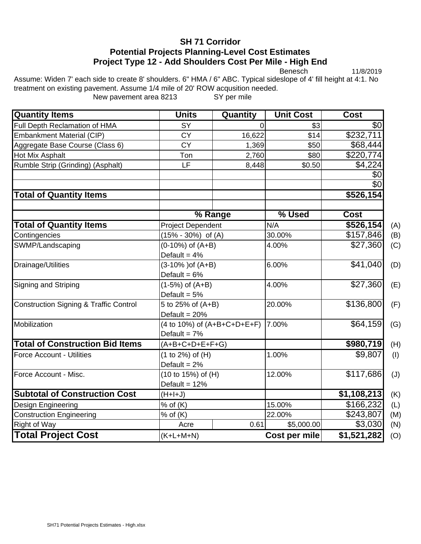#### **SH 71 Corridor Potential Projects Planning-Level Cost Estimates Project Type 12 - Add Shoulders Cost Per Mile - High End**

Benesch 11/8/2019

Assume: Widen 7' each side to create 8' shoulders. 6" HMA / 6" ABC. Typical sideslope of 4' fill height at 4:1. No treatment on existing pavement. Assume 1/4 mile of 20' ROW acqusition needed.

New pavement area 8213 SY per mile

| <b>Quantity Items</b>                             | <b>Units</b>                | Quantity                 | <b>Unit Cost</b> | <b>Cost</b>      |     |
|---------------------------------------------------|-----------------------------|--------------------------|------------------|------------------|-----|
| Full Depth Reclamation of HMA                     | <b>SY</b>                   | 0                        | \$3              | $\overline{50}$  |     |
| <b>Embankment Material (CIP)</b>                  | <b>CY</b>                   | 16,622                   | \$14             | \$232,711        |     |
| Aggregate Base Course (Class 6)                   | <b>CY</b>                   | 1,369                    | \$50             | \$68,444         |     |
| Hot Mix Asphalt                                   | Ton                         | 2,760                    | \$80             | $\sqrt{220,774}$ |     |
| Rumble Strip (Grinding) (Asphalt)                 | LF                          | 8,448                    | \$0.50           | \$4,224          |     |
|                                                   |                             |                          |                  | \$0              |     |
|                                                   |                             |                          |                  | $\overline{50}$  |     |
| <b>Total of Quantity Items</b>                    |                             |                          |                  | \$526,154        |     |
|                                                   |                             |                          | % Used           |                  |     |
|                                                   |                             | % Range                  |                  | <b>Cost</b>      |     |
| <b>Total of Quantity Items</b>                    |                             | <b>Project Dependent</b> |                  | \$526,154        | (A) |
| Contingencies                                     | $(15\% - 30\%)$ of (A)      |                          | 30.00%           | \$157,846        | (B) |
| SWMP/Landscaping                                  |                             | $(0-10\%)$ of $(A+B)$    |                  | \$27,360         | (C) |
|                                                   | Default = $4%$              |                          |                  |                  |     |
| Drainage/Utilities                                |                             | $(3-10\% )$ of $(A+B)$   |                  | \$41,040         | (D) |
|                                                   | Default = $6%$              |                          |                  |                  |     |
| Signing and Striping                              | $(1-5%)$ of $(A+B)$         |                          | 4.00%            | \$27,360         | (E) |
|                                                   | Default = $5%$              |                          |                  |                  |     |
| <b>Construction Signing &amp; Traffic Control</b> | 5 to 25% of (A+B)           |                          | 20.00%           | \$136,800        | (F) |
|                                                   | Default = $20%$             |                          |                  |                  |     |
| Mobilization                                      | (4 to 10%) of (A+B+C+D+E+F) |                          | 7.00%            | \$64,159         | (G) |
|                                                   | Default = $7%$              |                          |                  |                  |     |
| <b>Total of Construction Bid Items</b>            | $(A+B+C+D+E+F+G)$           |                          |                  | \$980,719        | (H) |
| <b>Force Account - Utilities</b>                  | $(1 to 2%)$ of $(H)$        |                          | 1.00%            | \$9,807          | (I) |
|                                                   | Default = $2%$              |                          |                  |                  |     |
| Force Account - Misc.                             | (10 to 15%) of (H)          |                          | 12.00%           | \$117,686        | (J) |
|                                                   | Default = $12%$             |                          |                  |                  |     |
| <b>Subtotal of Construction Cost</b>              | $(H+H)$                     |                          |                  | \$1,108,213      | (K) |
| Design Engineering                                | $%$ of $(K)$                |                          | 15.00%           | \$166,232        | (L) |
| <b>Construction Engineering</b>                   | % of (K)                    |                          |                  | \$243,807        | (M) |
| Right of Way                                      | Acre                        | 0.61                     | \$5,000.00       | \$3,030          | (N) |
| <b>Total Project Cost</b>                         | $(K+L+M+N)$                 |                          | Cost per mile    | \$1,521,282      | (O) |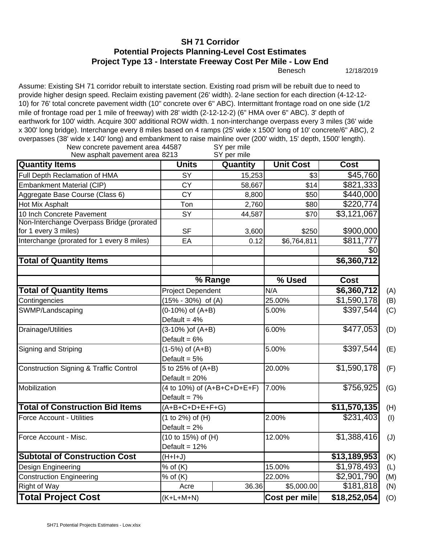#### **SH 71 Corridor Potential Projects Planning-Level Cost Estimates Project Type 13 - Interstate Freeway Cost Per Mile - Low End**

Benesch 12/18/2019

Assume: Existing SH 71 corridor rebuilt to interstate section. Existing road prism will be rebuilt due to need to provide higher design speed. Reclaim existing pavement (26' width). 2-lane section for each direction (4-12-12- 10) for 76' total concrete pavement width (10" concrete over 6" ABC). Intermittant frontage road on one side (1/2 mile of frontage road per 1 mile of freeway) with 28' width (2-12-12-2) (6" HMA over 6" ABC). 3' depth of earthwork for 100' width. Acquire 300' additional ROW width. 1 non-interchange overpass every 3 miles (36' wide x 300' long bridge). Interchange every 8 miles based on 4 ramps (25' wide x 1500' long of 10' concrete/6" ABC), 2 overpasses (38' wide x 140' long) and embankment to raise mainline over (200' width, 15' depth, 1500' length).

| New concrete pavement area 44587                  |                                     | SY per mile |                      |                         |     |
|---------------------------------------------------|-------------------------------------|-------------|----------------------|-------------------------|-----|
| New asphalt pavement area 8213                    |                                     | SY per mile |                      |                         |     |
| <b>Quantity Items</b>                             | <b>Units</b>                        | Quantity    | <b>Unit Cost</b>     | <b>Cost</b>             |     |
| Full Depth Reclamation of HMA                     | SY                                  | 15,253      | \$3                  | \$45,760                |     |
| <b>Embankment Material (CIP)</b>                  | <b>CY</b>                           | 58,667      | \$14                 | \$821,333               |     |
| Aggregate Base Course (Class 6)                   | <b>CY</b>                           | 8,800       | \$50                 | \$440,000               |     |
| <b>Hot Mix Asphalt</b>                            | Ton                                 | 2,760       | \$80                 | \$220,774               |     |
| 10 Inch Concrete Pavement                         | SY                                  | 44,587      | \$70                 | \$3,121,067             |     |
| Non-Interchange Overpass Bridge (prorated         |                                     |             |                      |                         |     |
| for 1 every 3 miles)                              | <b>SF</b>                           | 3,600       | \$250                | \$900,000               |     |
| Interchange (prorated for 1 every 8 miles)        | EA                                  | 0.12        | \$6,764,811          | \$811,777               |     |
|                                                   |                                     |             |                      | \$0                     |     |
| <b>Total of Quantity Items</b>                    |                                     |             |                      | \$6,360,712             |     |
|                                                   |                                     |             | % Used               | <b>Cost</b>             |     |
| <b>Total of Quantity Items</b>                    | % Range<br><b>Project Dependent</b> |             | N/A                  | \$6,360,712             | (A) |
| Contingencies                                     | $(15\% - 30\%)$ of (A)              |             | 25.00%               | \$1,590,178             | (B) |
| SWMP/Landscaping                                  | $(0-10\%)$ of $(A+B)$               |             | 5.00%                | \$397,544               | (C) |
|                                                   | Default = $4%$                      |             |                      |                         |     |
| Drainage/Utilities                                | $(3-10\%)$ of $(A+B)$               |             | 6.00%                | \$477,053               | (D) |
|                                                   | Default = $6%$                      |             |                      |                         |     |
| Signing and Striping                              | $(1-5%)$ of $(A+B)$                 |             | 5.00%                | \$397,544               | (E) |
|                                                   | Default = $5%$                      |             |                      |                         |     |
| <b>Construction Signing &amp; Traffic Control</b> | 5 to 25% of (A+B)                   |             | 20.00%               | \$1,590,178             | (F) |
|                                                   | Default = $20%$                     |             |                      |                         |     |
| Mobilization                                      | (4 to 10%) of (A+B+C+D+E+F)         |             | 7.00%                | \$756,925               | (G) |
|                                                   | Default = $7%$                      |             |                      |                         |     |
| <b>Total of Construction Bid Items</b>            | $(A+B+C+D+E+F+G)$                   |             |                      | \$11,570,135            | (H) |
| <b>Force Account - Utilities</b>                  | $(1 to 2%)$ of $(H)$                |             | 2.00%                | \$231,403               | (1) |
|                                                   | Default = $2%$                      |             |                      |                         |     |
| Force Account - Misc.                             | (10 to 15%) of (H)                  |             | 12.00%               | $\overline{$}1,388,416$ | (J) |
|                                                   | Default = $12%$                     |             |                      |                         |     |
| <b>Subtotal of Construction Cost</b>              | $(H+H+)$                            |             |                      | \$13,189,953            | (K) |
| Design Engineering                                | % of (K)                            |             | 15.00%               | \$1,978,493             | (L) |
| <b>Construction Engineering</b>                   | $%$ of $(K)$                        |             | 22.00%               | \$2,901,790             | (M) |
| <b>Right of Way</b>                               | Acre                                | 36.36       | \$5,000.00           | \$181,818               | (N) |
| <b>Total Project Cost</b>                         | $(K+L+M+N)$                         |             | <b>Cost per mile</b> | \$18,252,054            | (O) |